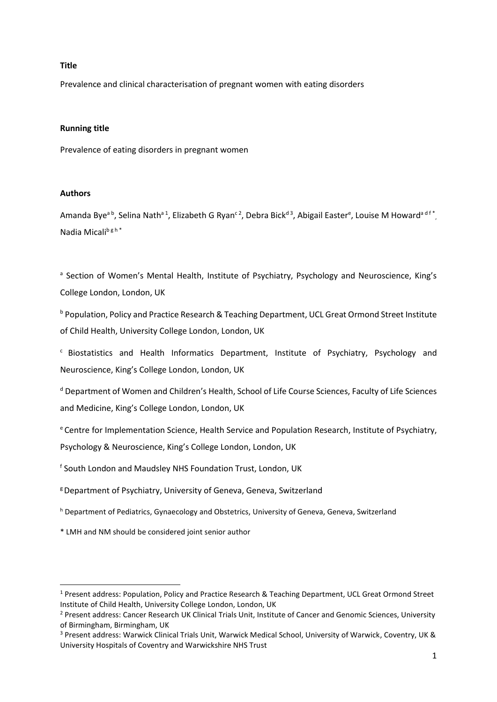## **Title**

Prevalence and clinical characterisation of pregnant women with eating disorders

## **Running title**

Prevalence of eating disorders in pregnant women

## **Authors**

1

Amanda Bye<sup>a b</sup>, Selina Nath<sup>a 1</sup>, Elizabeth G Ryan<sup>c 2</sup>, Debra Bick<sup>d 3</sup>, Abigail Easter<sup>e</sup>, Louise M Howard<sup>a d f</sup><sup>\*</sup>, Nadia Micalib g h \*

<sup>a</sup> Section of Women's Mental Health, Institute of Psychiatry, Psychology and Neuroscience, King's College London, London, UK

**b Population, Policy and Practice Research & Teaching Department, UCL Great Ormond Street Institute** of Child Health, University College London, London, UK

<sup>c</sup> Biostatistics and Health Informatics Department, Institute of Psychiatry, Psychology and Neuroscience, King's College London, London, UK

<sup>d</sup> Department of Women and Children's Health, School of Life Course Sciences, Faculty of Life Sciences and Medicine, King's College London, London, UK

<sup>e</sup> Centre for Implementation Science, Health Service and Population Research, Institute of Psychiatry, Psychology & Neuroscience, King's College London, London, UK

f South London and Maudsley NHS Foundation Trust, London, UK

- <sup>g</sup> Department of Psychiatry, University of Geneva, Geneva, Switzerland
- h Department of Pediatrics, Gynaecology and Obstetrics, University of Geneva, Geneva, Switzerland

\* LMH and NM should be considered joint senior author

<sup>1</sup> Present address: Population, Policy and Practice Research & Teaching Department, UCL Great Ormond Street Institute of Child Health, University College London, London, UK

<sup>&</sup>lt;sup>2</sup> Present address: Cancer Research UK Clinical Trials Unit, Institute of Cancer and Genomic Sciences, University of Birmingham, Birmingham, UK

<sup>3</sup> Present address: Warwick Clinical Trials Unit, Warwick Medical School, University of Warwick, Coventry, UK & University Hospitals of Coventry and Warwickshire NHS Trust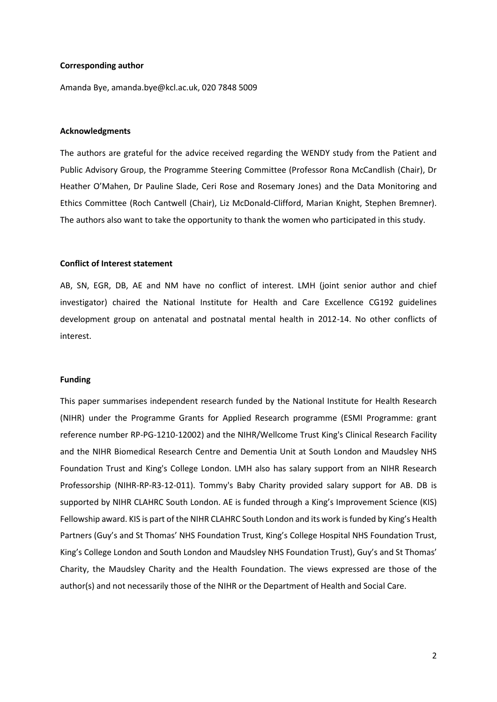## **Corresponding author**

Amanda Bye, amanda.bye@kcl.ac.uk, 020 7848 5009

#### **Acknowledgments**

The authors are grateful for the advice received regarding the WENDY study from the Patient and Public Advisory Group, the Programme Steering Committee (Professor Rona McCandlish (Chair), Dr Heather O'Mahen, Dr Pauline Slade, Ceri Rose and Rosemary Jones) and the Data Monitoring and Ethics Committee (Roch Cantwell (Chair), Liz McDonald-Clifford, Marian Knight, Stephen Bremner). The authors also want to take the opportunity to thank the women who participated in this study.

#### **Conflict of Interest statement**

AB, SN, EGR, DB, AE and NM have no conflict of interest. LMH (joint senior author and chief investigator) chaired the National Institute for Health and Care Excellence CG192 guidelines development group on antenatal and postnatal mental health in 2012-14. No other conflicts of interest.

## **Funding**

This paper summarises independent research funded by the National Institute for Health Research (NIHR) under the Programme Grants for Applied Research programme (ESMI Programme: grant reference number RP-PG-1210-12002) and the NIHR/Wellcome Trust King's Clinical Research Facility and the NIHR Biomedical Research Centre and Dementia Unit at South London and Maudsley NHS Foundation Trust and King's College London. LMH also has salary support from an NIHR Research Professorship (NIHR-RP-R3-12-011). Tommy's Baby Charity provided salary support for AB. DB is supported by NIHR CLAHRC South London. AE is funded through a King's Improvement Science (KIS) Fellowship award. KIS is part of the NIHR CLAHRC South London and its work is funded by King's Health Partners (Guy's and St Thomas' NHS Foundation Trust, King's College Hospital NHS Foundation Trust, King's College London and South London and Maudsley NHS Foundation Trust), Guy's and St Thomas' Charity, the Maudsley Charity and the Health Foundation. The views expressed are those of the author(s) and not necessarily those of the NIHR or the Department of Health and Social Care.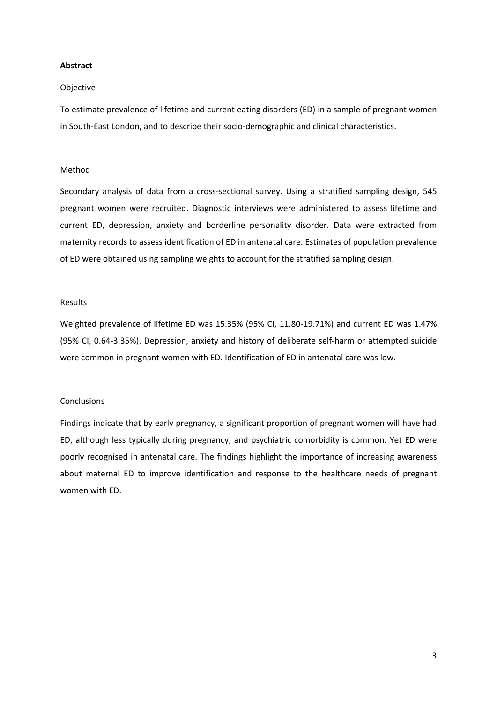## **Abstract**

## Objective

To estimate prevalence of lifetime and current eating disorders (ED) in a sample of pregnant women in South-East London, and to describe their socio-demographic and clinical characteristics.

## Method

Secondary analysis of data from a cross-sectional survey. Using a stratified sampling design, 545 pregnant women were recruited. Diagnostic interviews were administered to assess lifetime and current ED, depression, anxiety and borderline personality disorder. Data were extracted from maternity records to assess identification of ED in antenatal care. Estimates of population prevalence of ED were obtained using sampling weights to account for the stratified sampling design.

## Results

Weighted prevalence of lifetime ED was 15.35% (95% CI, 11.80-19.71%) and current ED was 1.47% (95% CI, 0.64-3.35%). Depression, anxiety and history of deliberate self-harm or attempted suicide were common in pregnant women with ED. Identification of ED in antenatal care was low.

## **Conclusions**

Findings indicate that by early pregnancy, a significant proportion of pregnant women will have had ED, although less typically during pregnancy, and psychiatric comorbidity is common. Yet ED were poorly recognised in antenatal care. The findings highlight the importance of increasing awareness about maternal ED to improve identification and response to the healthcare needs of pregnant women with ED.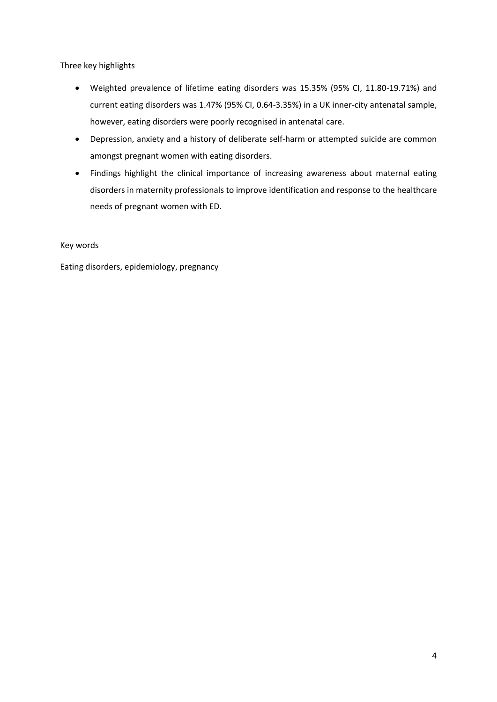Three key highlights

- Weighted prevalence of lifetime eating disorders was 15.35% (95% CI, 11.80-19.71%) and current eating disorders was 1.47% (95% CI, 0.64-3.35%) in a UK inner-city antenatal sample, however, eating disorders were poorly recognised in antenatal care.
- Depression, anxiety and a history of deliberate self-harm or attempted suicide are common amongst pregnant women with eating disorders.
- Findings highlight the clinical importance of increasing awareness about maternal eating disorders in maternity professionals to improve identification and response to the healthcare needs of pregnant women with ED.

Key words

Eating disorders, epidemiology, pregnancy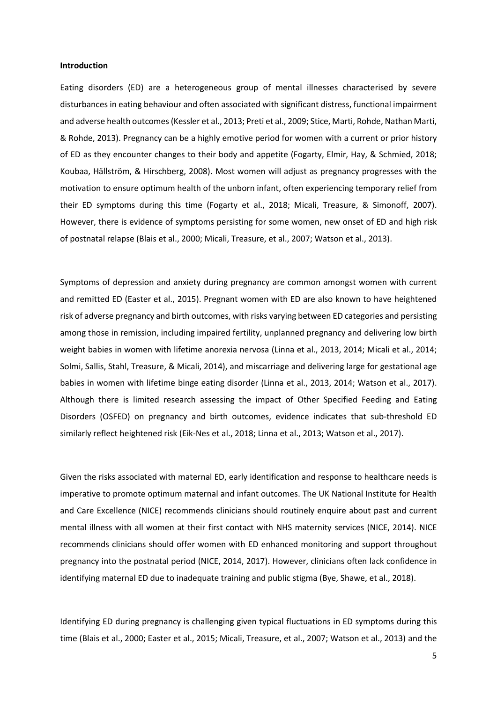#### **Introduction**

Eating disorders (ED) are a heterogeneous group of mental illnesses characterised by severe disturbances in eating behaviour and often associated with significant distress, functional impairment and adverse health outcomes(Kessler et al., 2013; Preti et al., 2009; Stice, Marti, Rohde, Nathan Marti, & Rohde, 2013). Pregnancy can be a highly emotive period for women with a current or prior history of ED as they encounter changes to their body and appetite (Fogarty, Elmir, Hay, & Schmied, 2018; Koubaa, Hällström, & Hirschberg, 2008). Most women will adjust as pregnancy progresses with the motivation to ensure optimum health of the unborn infant, often experiencing temporary relief from their ED symptoms during this time (Fogarty et al., 2018; Micali, Treasure, & Simonoff, 2007). However, there is evidence of symptoms persisting for some women, new onset of ED and high risk of postnatal relapse (Blais et al., 2000; Micali, Treasure, et al., 2007; Watson et al., 2013).

Symptoms of depression and anxiety during pregnancy are common amongst women with current and remitted ED (Easter et al., 2015). Pregnant women with ED are also known to have heightened risk of adverse pregnancy and birth outcomes, with risks varying between ED categories and persisting among those in remission, including impaired fertility, unplanned pregnancy and delivering low birth weight babies in women with lifetime anorexia nervosa (Linna et al., 2013, 2014; Micali et al., 2014; Solmi, Sallis, Stahl, Treasure, & Micali, 2014), and miscarriage and delivering large for gestational age babies in women with lifetime binge eating disorder (Linna et al., 2013, 2014; Watson et al., 2017). Although there is limited research assessing the impact of Other Specified Feeding and Eating Disorders (OSFED) on pregnancy and birth outcomes, evidence indicates that sub-threshold ED similarly reflect heightened risk (Eik‐Nes et al., 2018; Linna et al., 2013; Watson et al., 2017).

Given the risks associated with maternal ED, early identification and response to healthcare needs is imperative to promote optimum maternal and infant outcomes. The UK National Institute for Health and Care Excellence (NICE) recommends clinicians should routinely enquire about past and current mental illness with all women at their first contact with NHS maternity services (NICE, 2014). NICE recommends clinicians should offer women with ED enhanced monitoring and support throughout pregnancy into the postnatal period (NICE, 2014, 2017). However, clinicians often lack confidence in identifying maternal ED due to inadequate training and public stigma (Bye, Shawe, et al., 2018).

Identifying ED during pregnancy is challenging given typical fluctuations in ED symptoms during this time (Blais et al., 2000; Easter et al., 2015; Micali, Treasure, et al., 2007; Watson et al., 2013) and the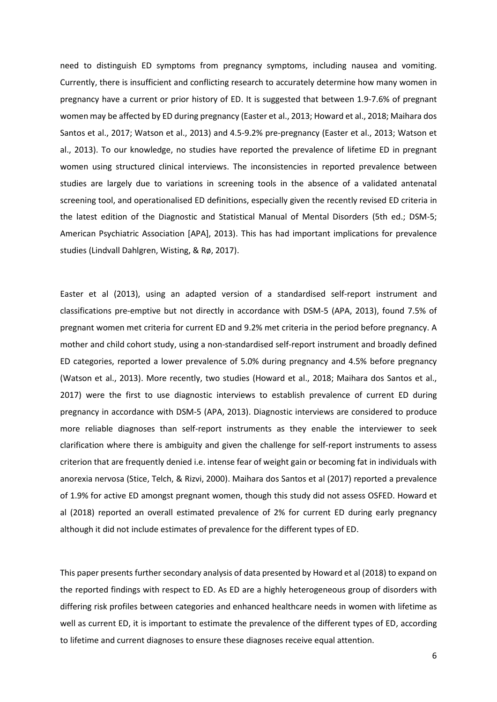need to distinguish ED symptoms from pregnancy symptoms, including nausea and vomiting. Currently, there is insufficient and conflicting research to accurately determine how many women in pregnancy have a current or prior history of ED. It is suggested that between 1.9-7.6% of pregnant women may be affected by ED during pregnancy (Easter et al., 2013; Howard et al., 2018; Maihara dos Santos et al., 2017; Watson et al., 2013) and 4.5-9.2% pre-pregnancy (Easter et al., 2013; Watson et al., 2013). To our knowledge, no studies have reported the prevalence of lifetime ED in pregnant women using structured clinical interviews. The inconsistencies in reported prevalence between studies are largely due to variations in screening tools in the absence of a validated antenatal screening tool, and operationalised ED definitions, especially given the recently revised ED criteria in the latest edition of the Diagnostic and Statistical Manual of Mental Disorders (5th ed.; DSM-5; American Psychiatric Association [APA], 2013). This has had important implications for prevalence studies (Lindvall Dahlgren, Wisting, & Rø, 2017).

Easter et al (2013), using an adapted version of a standardised self-report instrument and classifications pre-emptive but not directly in accordance with DSM-5 (APA, 2013), found 7.5% of pregnant women met criteria for current ED and 9.2% met criteria in the period before pregnancy. A mother and child cohort study, using a non-standardised self-report instrument and broadly defined ED categories, reported a lower prevalence of 5.0% during pregnancy and 4.5% before pregnancy (Watson et al., 2013). More recently, two studies (Howard et al., 2018; Maihara dos Santos et al., 2017) were the first to use diagnostic interviews to establish prevalence of current ED during pregnancy in accordance with DSM-5 (APA, 2013). Diagnostic interviews are considered to produce more reliable diagnoses than self-report instruments as they enable the interviewer to seek clarification where there is ambiguity and given the challenge for self-report instruments to assess criterion that are frequently denied i.e. intense fear of weight gain or becoming fat in individuals with anorexia nervosa (Stice, Telch, & Rizvi, 2000). Maihara dos Santos et al (2017) reported a prevalence of 1.9% for active ED amongst pregnant women, though this study did not assess OSFED. Howard et al (2018) reported an overall estimated prevalence of 2% for current ED during early pregnancy although it did not include estimates of prevalence for the different types of ED.

This paper presents further secondary analysis of data presented by Howard et al (2018) to expand on the reported findings with respect to ED. As ED are a highly heterogeneous group of disorders with differing risk profiles between categories and enhanced healthcare needs in women with lifetime as well as current ED, it is important to estimate the prevalence of the different types of ED, according to lifetime and current diagnoses to ensure these diagnoses receive equal attention.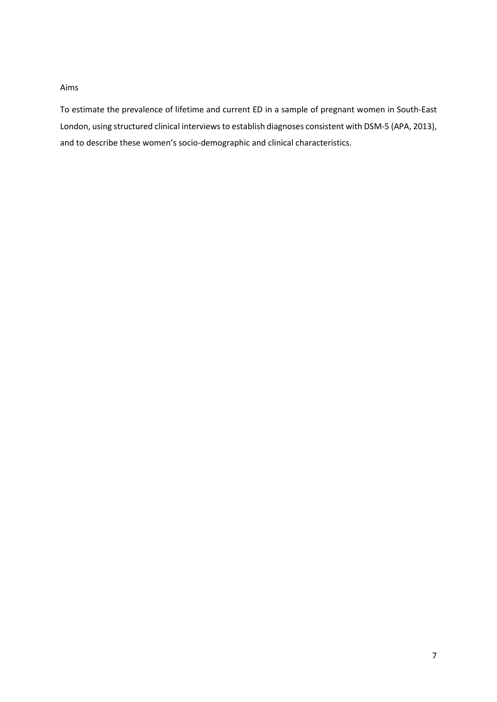## Aims

To estimate the prevalence of lifetime and current ED in a sample of pregnant women in South-East London, using structured clinical interviews to establish diagnoses consistent with DSM-5 (APA, 2013), and to describe these women's socio-demographic and clinical characteristics.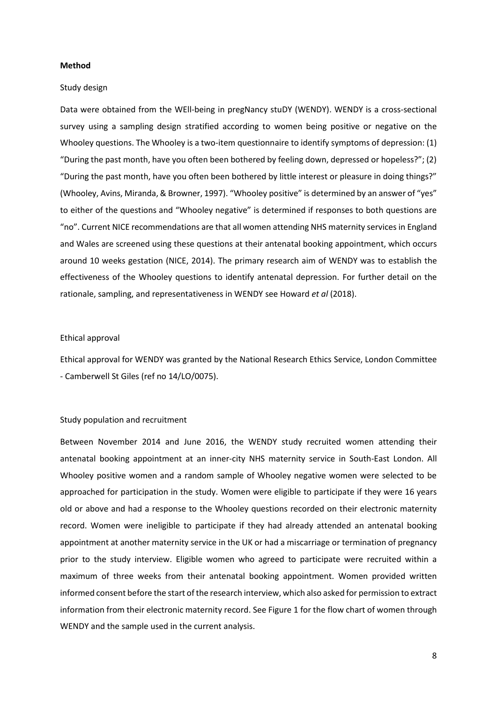## **Method**

#### Study design

Data were obtained from the WEll-being in pregNancy stuDY (WENDY). WENDY is a cross-sectional survey using a sampling design stratified according to women being positive or negative on the Whooley questions. The Whooley is a two-item questionnaire to identify symptoms of depression: (1) "During the past month, have you often been bothered by feeling down, depressed or hopeless?"; (2) "During the past month, have you often been bothered by little interest or pleasure in doing things?" (Whooley, Avins, Miranda, & Browner, 1997). "Whooley positive" is determined by an answer of "yes" to either of the questions and "Whooley negative" is determined if responses to both questions are "no". Current NICE recommendations are that all women attending NHS maternity servicesin England and Wales are screened using these questions at their antenatal booking appointment, which occurs around 10 weeks gestation (NICE, 2014). The primary research aim of WENDY was to establish the effectiveness of the Whooley questions to identify antenatal depression. For further detail on the rationale, sampling, and representativeness in WENDY see Howard *et al* (2018).

## Ethical approval

Ethical approval for WENDY was granted by the National Research Ethics Service, London Committee - Camberwell St Giles (ref no 14/LO/0075).

## Study population and recruitment

Between November 2014 and June 2016, the WENDY study recruited women attending their antenatal booking appointment at an inner-city NHS maternity service in South-East London. All Whooley positive women and a random sample of Whooley negative women were selected to be approached for participation in the study. Women were eligible to participate if they were 16 years old or above and had a response to the Whooley questions recorded on their electronic maternity record. Women were ineligible to participate if they had already attended an antenatal booking appointment at another maternity service in the UK or had a miscarriage or termination of pregnancy prior to the study interview. Eligible women who agreed to participate were recruited within a maximum of three weeks from their antenatal booking appointment. Women provided written informed consent before the start of the research interview, which also asked for permission to extract information from their electronic maternity record. See Figure 1 for the flow chart of women through WENDY and the sample used in the current analysis.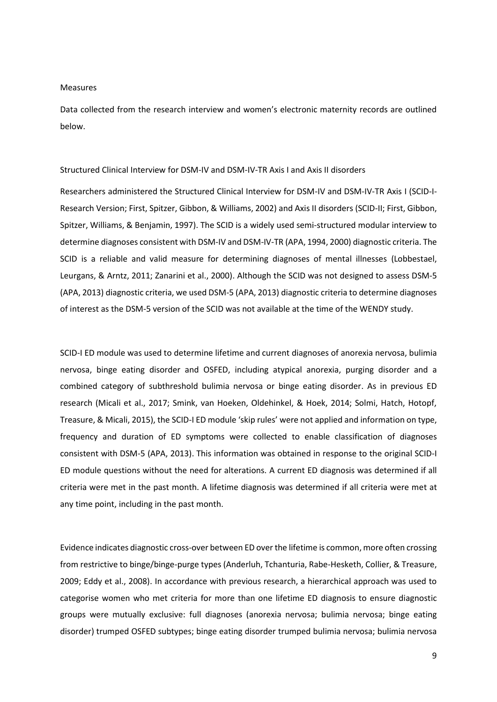#### Measures

Data collected from the research interview and women's electronic maternity records are outlined below.

## Structured Clinical Interview for DSM-IV and DSM-IV-TR Axis I and Axis II disorders

Researchers administered the Structured Clinical Interview for DSM-IV and DSM-IV-TR Axis I (SCID-I-Research Version; First, Spitzer, Gibbon, & Williams, 2002) and Axis II disorders (SCID-II; First, Gibbon, Spitzer, Williams, & Benjamin, 1997). The SCID is a widely used semi-structured modular interview to determine diagnoses consistent with DSM-IV and DSM-IV-TR (APA, 1994, 2000) diagnostic criteria. The SCID is a reliable and valid measure for determining diagnoses of mental illnesses (Lobbestael, Leurgans, & Arntz, 2011; Zanarini et al., 2000). Although the SCID was not designed to assess DSM-5 (APA, 2013) diagnostic criteria, we used DSM-5 (APA, 2013) diagnostic criteria to determine diagnoses of interest as the DSM-5 version of the SCID was not available at the time of the WENDY study.

SCID-I ED module was used to determine lifetime and current diagnoses of anorexia nervosa, bulimia nervosa, binge eating disorder and OSFED, including atypical anorexia, purging disorder and a combined category of subthreshold bulimia nervosa or binge eating disorder. As in previous ED research (Micali et al., 2017; Smink, van Hoeken, Oldehinkel, & Hoek, 2014; Solmi, Hatch, Hotopf, Treasure, & Micali, 2015), the SCID-I ED module 'skip rules' were not applied and information on type, frequency and duration of ED symptoms were collected to enable classification of diagnoses consistent with DSM-5 (APA, 2013). This information was obtained in response to the original SCID-I ED module questions without the need for alterations. A current ED diagnosis was determined if all criteria were met in the past month. A lifetime diagnosis was determined if all criteria were met at any time point, including in the past month.

Evidence indicates diagnostic cross-over between ED over the lifetime is common, more often crossing from restrictive to binge/binge-purge types (Anderluh, Tchanturia, Rabe-Hesketh, Collier, & Treasure, 2009; Eddy et al., 2008). In accordance with previous research, a hierarchical approach was used to categorise women who met criteria for more than one lifetime ED diagnosis to ensure diagnostic groups were mutually exclusive: full diagnoses (anorexia nervosa; bulimia nervosa; binge eating disorder) trumped OSFED subtypes; binge eating disorder trumped bulimia nervosa; bulimia nervosa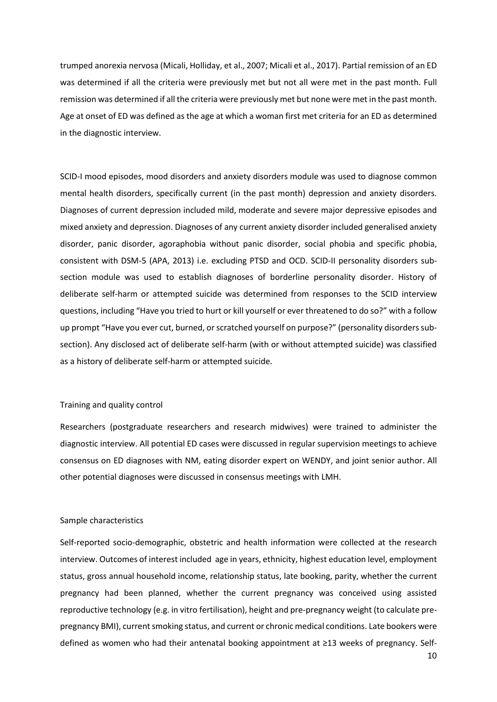trumped anorexia nervosa (Micali, Holliday, et al., 2007; Micali et al., 2017). Partial remission of an ED was determined if all the criteria were previously met but not all were met in the past month. Full remission was determined if all the criteria were previously met but none were met in the past month. Age at onset of ED was defined as the age at which a woman first met criteria for an ED as determined in the diagnostic interview.

SCID-I mood episodes, mood disorders and anxiety disorders module was used to diagnose common mental health disorders, specifically current (in the past month) depression and anxiety disorders. Diagnoses of current depression included mild, moderate and severe major depressive episodes and mixed anxiety and depression. Diagnoses of any current anxiety disorder included generalised anxiety disorder, panic disorder, agoraphobia without panic disorder, social phobia and specific phobia, consistent with DSM-5 (APA, 2013) i.e. excluding PTSD and OCD. SCID-II personality disorders subsection module was used to establish diagnoses of borderline personality disorder. History of deliberate self-harm or attempted suicide was determined from responses to the SCID interview questions, including "Have you tried to hurt or kill yourself or ever threatened to do so?" with a follow up prompt "Have you ever cut, burned, or scratched yourself on purpose?" (personality disorders subsection). Any disclosed act of deliberate self-harm (with or without attempted suicide) was classified as a history of deliberate self-harm or attempted suicide.

## Training and quality control

Researchers (postgraduate researchers and research midwives) were trained to administer the diagnostic interview. All potential ED cases were discussed in regular supervision meetings to achieve consensus on ED diagnoses with NM, eating disorder expert on WENDY, and joint senior author. All other potential diagnoses were discussed in consensus meetings with LMH.

#### Sample characteristics

Self-reported socio-demographic, obstetric and health information were collected at the research interview. Outcomes of interest included age in years, ethnicity, highest education level, employment status, gross annual household income, relationship status, late booking, parity, whether the current pregnancy had been planned, whether the current pregnancy was conceived using assisted reproductive technology (e.g. in vitro fertilisation), height and pre-pregnancy weight (to calculate prepregnancy BMI), current smoking status, and current or chronic medical conditions. Late bookers were defined as women who had their antenatal booking appointment at ≥13 weeks of pregnancy. Self-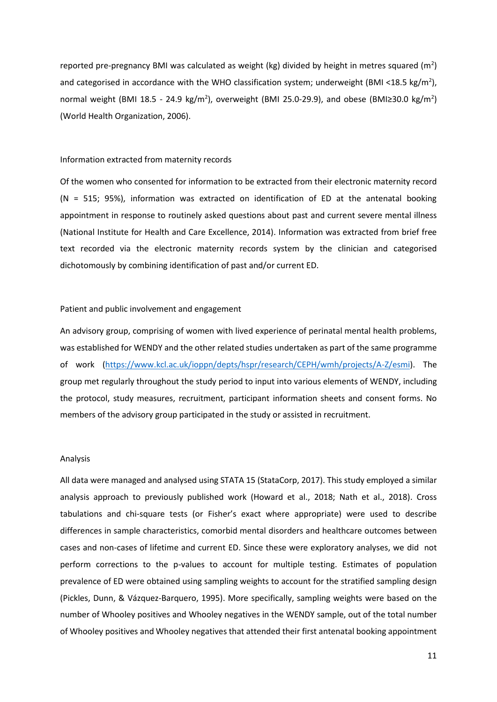reported pre-pregnancy BMI was calculated as weight (kg) divided by height in metres squared (m<sup>2</sup>) and categorised in accordance with the WHO classification system; underweight (BMI <18.5 kg/m<sup>2</sup>), normal weight (BMI 18.5 - 24.9 kg/m<sup>2</sup>), overweight (BMI 25.0-29.9), and obese (BMI≥30.0 kg/m<sup>2</sup>) (World Health Organization, 2006).

### Information extracted from maternity records

Of the women who consented for information to be extracted from their electronic maternity record  $(N = 515; 95%)$ , information was extracted on identification of ED at the antenatal booking appointment in response to routinely asked questions about past and current severe mental illness (National Institute for Health and Care Excellence, 2014). Information was extracted from brief free text recorded via the electronic maternity records system by the clinician and categorised dichotomously by combining identification of past and/or current ED.

## Patient and public involvement and engagement

An advisory group, comprising of women with lived experience of perinatal mental health problems, was established for WENDY and the other related studies undertaken as part of the same programme of work [\(https://www.kcl.ac.uk/ioppn/depts/hspr/research/CEPH/wmh/projects/A-Z/esmi\)](https://www.kcl.ac.uk/ioppn/depts/hspr/research/CEPH/wmh/projects/A-Z/esmi). The group met regularly throughout the study period to input into various elements of WENDY, including the protocol, study measures, recruitment, participant information sheets and consent forms. No members of the advisory group participated in the study or assisted in recruitment.

#### Analysis

All data were managed and analysed using STATA 15 (StataCorp, 2017). This study employed a similar analysis approach to previously published work (Howard et al., 2018; Nath et al., 2018). Cross tabulations and chi-square tests (or Fisher's exact where appropriate) were used to describe differences in sample characteristics, comorbid mental disorders and healthcare outcomes between cases and non-cases of lifetime and current ED. Since these were exploratory analyses, we did not perform corrections to the p-values to account for multiple testing. Estimates of population prevalence of ED were obtained using sampling weights to account for the stratified sampling design (Pickles, Dunn, & Vázquez-Barquero, 1995). More specifically, sampling weights were based on the number of Whooley positives and Whooley negatives in the WENDY sample, out of the total number of Whooley positives and Whooley negatives that attended their first antenatal booking appointment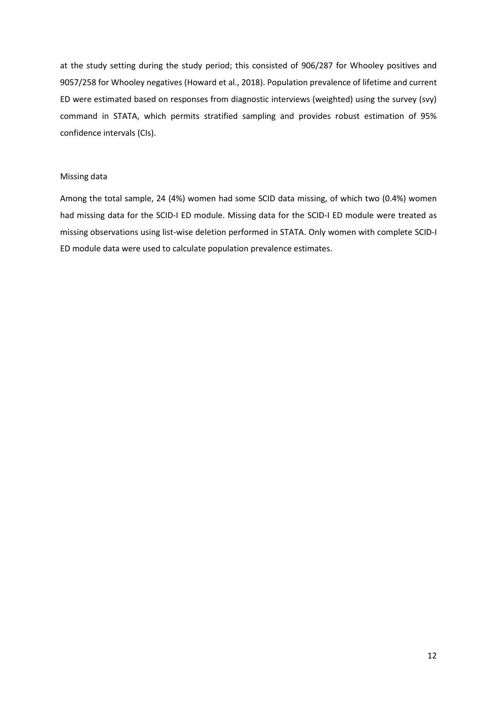at the study setting during the study period; this consisted of 906/287 for Whooley positives and 9057/258 for Whooley negatives (Howard et al., 2018). Population prevalence of lifetime and current ED were estimated based on responses from diagnostic interviews (weighted) using the survey (svy) command in STATA, which permits stratified sampling and provides robust estimation of 95% confidence intervals (CIs).

## Missing data

Among the total sample, 24 (4%) women had some SCID data missing, of which two (0.4%) women had missing data for the SCID-I ED module. Missing data for the SCID-I ED module were treated as missing observations using list-wise deletion performed in STATA. Only women with complete SCID-I ED module data were used to calculate population prevalence estimates.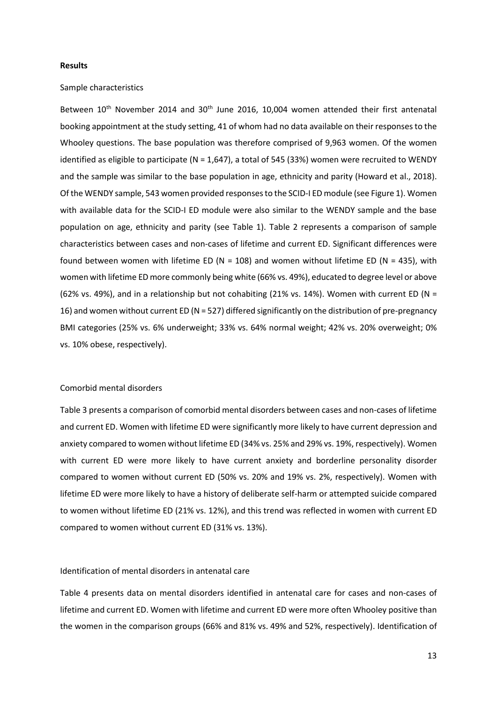#### **Results**

## Sample characteristics

Between 10<sup>th</sup> November 2014 and 30<sup>th</sup> June 2016, 10,004 women attended their first antenatal booking appointment at the study setting, 41 of whom had no data available on their responses to the Whooley questions. The base population was therefore comprised of 9,963 women. Of the women identified as eligible to participate (N = 1,647), a total of 545 (33%) women were recruited to WENDY and the sample was similar to the base population in age, ethnicity and parity (Howard et al., 2018). Of the WENDY sample, 543 women provided responses to the SCID-I ED module (see Figure 1). Women with available data for the SCID-I ED module were also similar to the WENDY sample and the base population on age, ethnicity and parity (see Table 1). Table 2 represents a comparison of sample characteristics between cases and non-cases of lifetime and current ED. Significant differences were found between women with lifetime ED (N = 108) and women without lifetime ED (N = 435), with women with lifetime ED more commonly being white (66% vs. 49%), educated to degree level or above (62% vs. 49%), and in a relationship but not cohabiting (21% vs. 14%). Women with current ED (N = 16) and women without current ED (N = 527) differed significantly on the distribution of pre-pregnancy BMI categories (25% vs. 6% underweight; 33% vs. 64% normal weight; 42% vs. 20% overweight; 0% vs. 10% obese, respectively).

## Comorbid mental disorders

Table 3 presents a comparison of comorbid mental disorders between cases and non-cases of lifetime and current ED. Women with lifetime ED were significantly more likely to have current depression and anxiety compared to women without lifetime ED (34% vs. 25% and 29% vs. 19%, respectively). Women with current ED were more likely to have current anxiety and borderline personality disorder compared to women without current ED (50% vs. 20% and 19% vs. 2%, respectively). Women with lifetime ED were more likely to have a history of deliberate self-harm or attempted suicide compared to women without lifetime ED (21% vs. 12%), and this trend was reflected in women with current ED compared to women without current ED (31% vs. 13%).

## Identification of mental disorders in antenatal care

Table 4 presents data on mental disorders identified in antenatal care for cases and non-cases of lifetime and current ED. Women with lifetime and current ED were more often Whooley positive than the women in the comparison groups (66% and 81% vs. 49% and 52%, respectively). Identification of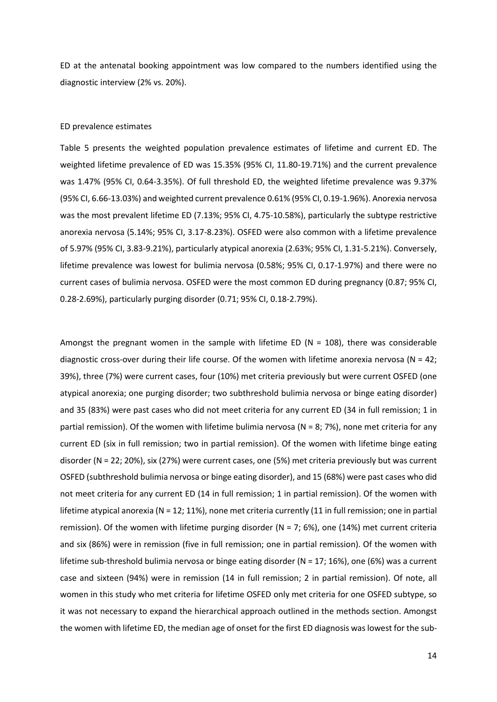ED at the antenatal booking appointment was low compared to the numbers identified using the diagnostic interview (2% vs. 20%).

## ED prevalence estimates

Table 5 presents the weighted population prevalence estimates of lifetime and current ED. The weighted lifetime prevalence of ED was 15.35% (95% CI, 11.80-19.71%) and the current prevalence was 1.47% (95% CI, 0.64-3.35%). Of full threshold ED, the weighted lifetime prevalence was 9.37% (95% CI, 6.66-13.03%) and weighted current prevalence 0.61% (95% CI, 0.19-1.96%). Anorexia nervosa was the most prevalent lifetime ED (7.13%; 95% CI, 4.75-10.58%), particularly the subtype restrictive anorexia nervosa (5.14%; 95% CI, 3.17-8.23%). OSFED were also common with a lifetime prevalence of 5.97% (95% CI, 3.83-9.21%), particularly atypical anorexia (2.63%; 95% CI, 1.31-5.21%). Conversely, lifetime prevalence was lowest for bulimia nervosa (0.58%; 95% CI, 0.17-1.97%) and there were no current cases of bulimia nervosa. OSFED were the most common ED during pregnancy (0.87; 95% CI, 0.28-2.69%), particularly purging disorder (0.71; 95% CI, 0.18-2.79%).

Amongst the pregnant women in the sample with lifetime ED ( $N = 108$ ), there was considerable diagnostic cross-over during their life course. Of the women with lifetime anorexia nervosa ( $N = 42$ ; 39%), three (7%) were current cases, four (10%) met criteria previously but were current OSFED (one atypical anorexia; one purging disorder; two subthreshold bulimia nervosa or binge eating disorder) and 35 (83%) were past cases who did not meet criteria for any current ED (34 in full remission; 1 in partial remission). Of the women with lifetime bulimia nervosa (N = 8; 7%), none met criteria for any current ED (six in full remission; two in partial remission). Of the women with lifetime binge eating disorder (N = 22; 20%), six (27%) were current cases, one (5%) met criteria previously but was current OSFED (subthreshold bulimia nervosa or binge eating disorder), and 15 (68%) were past cases who did not meet criteria for any current ED (14 in full remission; 1 in partial remission). Of the women with lifetime atypical anorexia (N = 12; 11%), none met criteria currently (11 in full remission; one in partial remission). Of the women with lifetime purging disorder (N = 7; 6%), one (14%) met current criteria and six (86%) were in remission (five in full remission; one in partial remission). Of the women with lifetime sub-threshold bulimia nervosa or binge eating disorder (N = 17; 16%), one (6%) was a current case and sixteen (94%) were in remission (14 in full remission; 2 in partial remission). Of note, all women in this study who met criteria for lifetime OSFED only met criteria for one OSFED subtype, so it was not necessary to expand the hierarchical approach outlined in the methods section. Amongst the women with lifetime ED, the median age of onset for the first ED diagnosis was lowest for the sub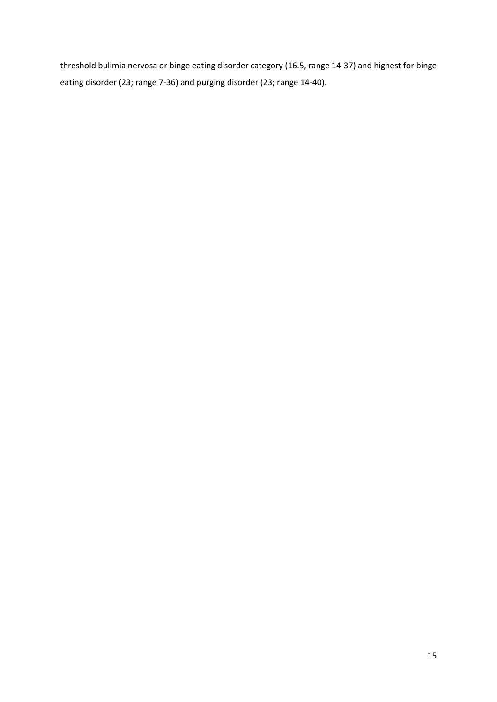threshold bulimia nervosa or binge eating disorder category (16.5, range 14-37) and highest for binge eating disorder (23; range 7-36) and purging disorder (23; range 14-40).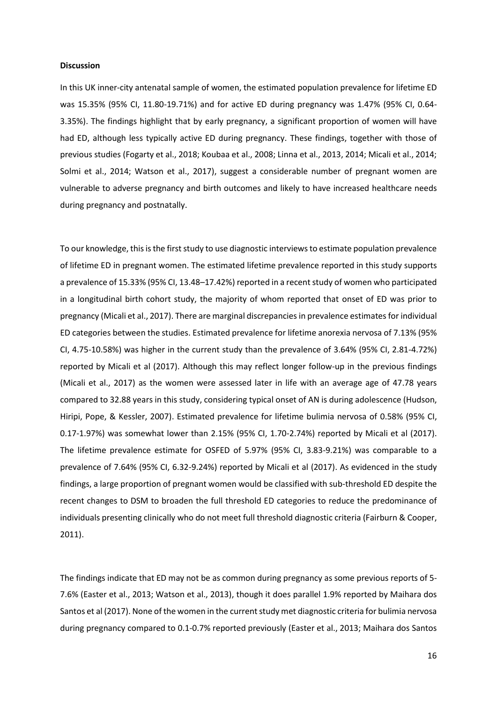## **Discussion**

In this UK inner-city antenatal sample of women, the estimated population prevalence for lifetime ED was 15.35% (95% CI, 11.80-19.71%) and for active ED during pregnancy was 1.47% (95% CI, 0.64- 3.35%). The findings highlight that by early pregnancy, a significant proportion of women will have had ED, although less typically active ED during pregnancy. These findings, together with those of previous studies (Fogarty et al., 2018; Koubaa et al., 2008; Linna et al., 2013, 2014; Micali et al., 2014; Solmi et al., 2014; Watson et al., 2017), suggest a considerable number of pregnant women are vulnerable to adverse pregnancy and birth outcomes and likely to have increased healthcare needs during pregnancy and postnatally.

To our knowledge, this is the first study to use diagnostic interviews to estimate population prevalence of lifetime ED in pregnant women. The estimated lifetime prevalence reported in this study supports a prevalence of 15.33% (95% CI, 13.48–17.42%) reported in a recent study of women who participated in a longitudinal birth cohort study, the majority of whom reported that onset of ED was prior to pregnancy (Micali et al., 2017). There are marginal discrepancies in prevalence estimates for individual ED categories between the studies. Estimated prevalence for lifetime anorexia nervosa of 7.13% (95% CI, 4.75-10.58%) was higher in the current study than the prevalence of 3.64% (95% CI, 2.81-4.72%) reported by Micali et al (2017). Although this may reflect longer follow-up in the previous findings (Micali et al., 2017) as the women were assessed later in life with an average age of 47.78 years compared to 32.88 years in this study, considering typical onset of AN is during adolescence (Hudson, Hiripi, Pope, & Kessler, 2007). Estimated prevalence for lifetime bulimia nervosa of 0.58% (95% CI, 0.17-1.97%) was somewhat lower than 2.15% (95% CI, 1.70-2.74%) reported by Micali et al (2017). The lifetime prevalence estimate for OSFED of 5.97% (95% CI, 3.83-9.21%) was comparable to a prevalence of 7.64% (95% CI, 6.32-9.24%) reported by Micali et al (2017). As evidenced in the study findings, a large proportion of pregnant women would be classified with sub-threshold ED despite the recent changes to DSM to broaden the full threshold ED categories to reduce the predominance of individuals presenting clinically who do not meet full threshold diagnostic criteria (Fairburn & Cooper, 2011).

The findings indicate that ED may not be as common during pregnancy as some previous reports of 5- 7.6% (Easter et al., 2013; Watson et al., 2013), though it does parallel 1.9% reported by Maihara dos Santos et al (2017). None of the women in the current study met diagnostic criteria for bulimia nervosa during pregnancy compared to 0.1-0.7% reported previously (Easter et al., 2013; Maihara dos Santos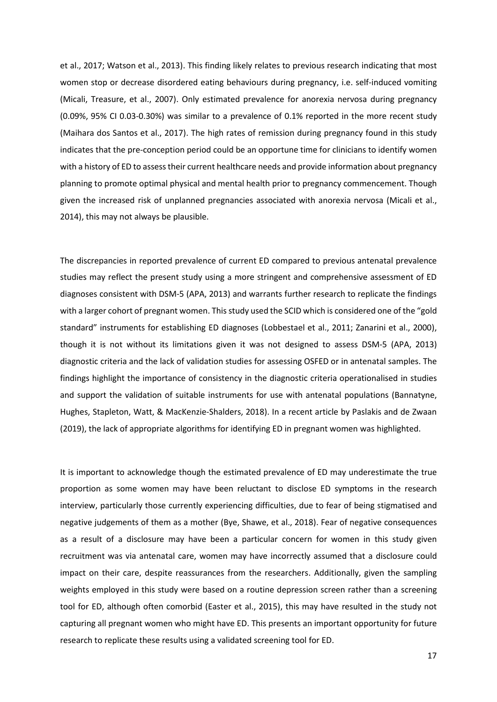et al., 2017; Watson et al., 2013). This finding likely relates to previous research indicating that most women stop or decrease disordered eating behaviours during pregnancy, i.e. self-induced vomiting (Micali, Treasure, et al., 2007). Only estimated prevalence for anorexia nervosa during pregnancy (0.09%, 95% CI 0.03-0.30%) was similar to a prevalence of 0.1% reported in the more recent study (Maihara dos Santos et al., 2017). The high rates of remission during pregnancy found in this study indicates that the pre-conception period could be an opportune time for clinicians to identify women with a history of ED to assess their current healthcare needs and provide information about pregnancy planning to promote optimal physical and mental health prior to pregnancy commencement. Though given the increased risk of unplanned pregnancies associated with anorexia nervosa (Micali et al., 2014), this may not always be plausible.

The discrepancies in reported prevalence of current ED compared to previous antenatal prevalence studies may reflect the present study using a more stringent and comprehensive assessment of ED diagnoses consistent with DSM-5 (APA, 2013) and warrants further research to replicate the findings with a larger cohort of pregnant women. This study used the SCID which is considered one of the "gold standard" instruments for establishing ED diagnoses (Lobbestael et al., 2011; Zanarini et al., 2000), though it is not without its limitations given it was not designed to assess DSM-5 (APA, 2013) diagnostic criteria and the lack of validation studies for assessing OSFED or in antenatal samples. The findings highlight the importance of consistency in the diagnostic criteria operationalised in studies and support the validation of suitable instruments for use with antenatal populations (Bannatyne, Hughes, Stapleton, Watt, & MacKenzie-Shalders, 2018). In a recent article by Paslakis and de Zwaan (2019), the lack of appropriate algorithms for identifying ED in pregnant women was highlighted.

It is important to acknowledge though the estimated prevalence of ED may underestimate the true proportion as some women may have been reluctant to disclose ED symptoms in the research interview, particularly those currently experiencing difficulties, due to fear of being stigmatised and negative judgements of them as a mother (Bye, Shawe, et al., 2018). Fear of negative consequences as a result of a disclosure may have been a particular concern for women in this study given recruitment was via antenatal care, women may have incorrectly assumed that a disclosure could impact on their care, despite reassurances from the researchers. Additionally, given the sampling weights employed in this study were based on a routine depression screen rather than a screening tool for ED, although often comorbid (Easter et al., 2015), this may have resulted in the study not capturing all pregnant women who might have ED. This presents an important opportunity for future research to replicate these results using a validated screening tool for ED.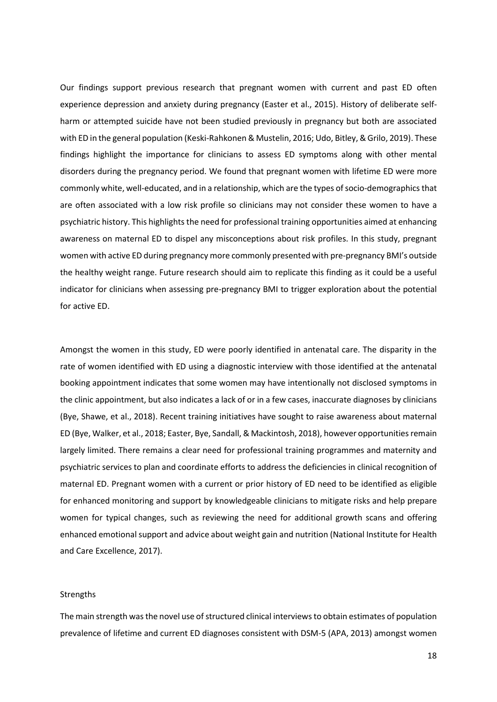Our findings support previous research that pregnant women with current and past ED often experience depression and anxiety during pregnancy (Easter et al., 2015). History of deliberate selfharm or attempted suicide have not been studied previously in pregnancy but both are associated with ED in the general population (Keski-Rahkonen & Mustelin, 2016; Udo, Bitley, & Grilo, 2019). These findings highlight the importance for clinicians to assess ED symptoms along with other mental disorders during the pregnancy period. We found that pregnant women with lifetime ED were more commonly white, well-educated, and in a relationship, which are the types of socio-demographics that are often associated with a low risk profile so clinicians may not consider these women to have a psychiatric history. This highlights the need for professional training opportunities aimed at enhancing awareness on maternal ED to dispel any misconceptions about risk profiles. In this study, pregnant women with active ED during pregnancy more commonly presented with pre-pregnancy BMI's outside the healthy weight range. Future research should aim to replicate this finding as it could be a useful indicator for clinicians when assessing pre-pregnancy BMI to trigger exploration about the potential for active ED.

Amongst the women in this study, ED were poorly identified in antenatal care. The disparity in the rate of women identified with ED using a diagnostic interview with those identified at the antenatal booking appointment indicates that some women may have intentionally not disclosed symptoms in the clinic appointment, but also indicates a lack of or in a few cases, inaccurate diagnoses by clinicians (Bye, Shawe, et al., 2018). Recent training initiatives have sought to raise awareness about maternal ED (Bye, Walker, et al., 2018; Easter, Bye, Sandall, & Mackintosh, 2018), however opportunities remain largely limited. There remains a clear need for professional training programmes and maternity and psychiatric services to plan and coordinate efforts to address the deficiencies in clinical recognition of maternal ED. Pregnant women with a current or prior history of ED need to be identified as eligible for enhanced monitoring and support by knowledgeable clinicians to mitigate risks and help prepare women for typical changes, such as reviewing the need for additional growth scans and offering enhanced emotional support and advice about weight gain and nutrition (National Institute for Health and Care Excellence, 2017).

#### Strengths

The main strength wasthe novel use of structured clinical interviewsto obtain estimates of population prevalence of lifetime and current ED diagnoses consistent with DSM-5 (APA, 2013) amongst women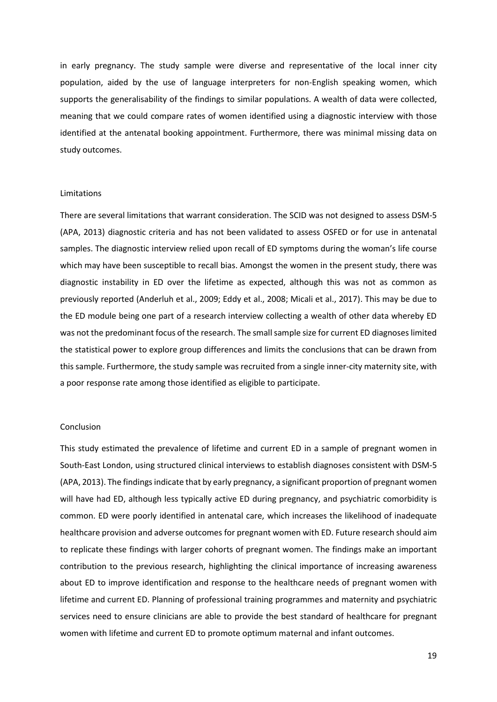in early pregnancy. The study sample were diverse and representative of the local inner city population, aided by the use of language interpreters for non-English speaking women, which supports the generalisability of the findings to similar populations. A wealth of data were collected, meaning that we could compare rates of women identified using a diagnostic interview with those identified at the antenatal booking appointment. Furthermore, there was minimal missing data on study outcomes.

## Limitations

There are several limitations that warrant consideration. The SCID was not designed to assess DSM-5 (APA, 2013) diagnostic criteria and has not been validated to assess OSFED or for use in antenatal samples. The diagnostic interview relied upon recall of ED symptoms during the woman's life course which may have been susceptible to recall bias. Amongst the women in the present study, there was diagnostic instability in ED over the lifetime as expected, although this was not as common as previously reported (Anderluh et al., 2009; Eddy et al., 2008; Micali et al., 2017). This may be due to the ED module being one part of a research interview collecting a wealth of other data whereby ED was not the predominant focus of the research. The small sample size for current ED diagnoses limited the statistical power to explore group differences and limits the conclusions that can be drawn from this sample. Furthermore, the study sample was recruited from a single inner-city maternity site, with a poor response rate among those identified as eligible to participate.

## Conclusion

This study estimated the prevalence of lifetime and current ED in a sample of pregnant women in South-East London, using structured clinical interviews to establish diagnoses consistent with DSM-5 (APA, 2013). The findings indicate that by early pregnancy, a significant proportion of pregnant women will have had ED, although less typically active ED during pregnancy, and psychiatric comorbidity is common. ED were poorly identified in antenatal care, which increases the likelihood of inadequate healthcare provision and adverse outcomes for pregnant women with ED. Future research should aim to replicate these findings with larger cohorts of pregnant women. The findings make an important contribution to the previous research, highlighting the clinical importance of increasing awareness about ED to improve identification and response to the healthcare needs of pregnant women with lifetime and current ED. Planning of professional training programmes and maternity and psychiatric services need to ensure clinicians are able to provide the best standard of healthcare for pregnant women with lifetime and current ED to promote optimum maternal and infant outcomes.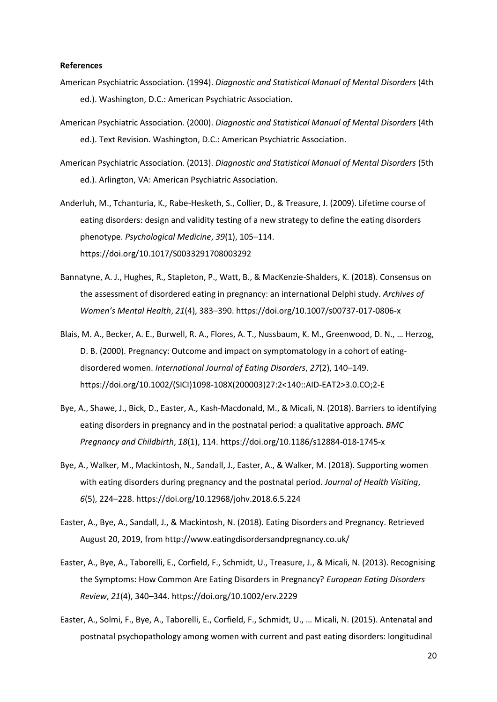## **References**

- American Psychiatric Association. (1994). *Diagnostic and Statistical Manual of Mental Disorders* (4th ed.). Washington, D.C.: American Psychiatric Association.
- American Psychiatric Association. (2000). *Diagnostic and Statistical Manual of Mental Disorders* (4th ed.). Text Revision. Washington, D.C.: American Psychiatric Association.
- American Psychiatric Association. (2013). *Diagnostic and Statistical Manual of Mental Disorders* (5th ed.). Arlington, VA: American Psychiatric Association.
- Anderluh, M., Tchanturia, K., Rabe-Hesketh, S., Collier, D., & Treasure, J. (2009). Lifetime course of eating disorders: design and validity testing of a new strategy to define the eating disorders phenotype. *Psychological Medicine*, *39*(1), 105–114. https://doi.org/10.1017/S0033291708003292
- Bannatyne, A. J., Hughes, R., Stapleton, P., Watt, B., & MacKenzie-Shalders, K. (2018). Consensus on the assessment of disordered eating in pregnancy: an international Delphi study. *Archives of Women's Mental Health*, *21*(4), 383–390. https://doi.org/10.1007/s00737-017-0806-x
- Blais, M. A., Becker, A. E., Burwell, R. A., Flores, A. T., Nussbaum, K. M., Greenwood, D. N., … Herzog, D. B. (2000). Pregnancy: Outcome and impact on symptomatology in a cohort of eatingdisordered women. *International Journal of Eating Disorders*, *27*(2), 140–149. https://doi.org/10.1002/(SICI)1098-108X(200003)27:2<140::AID-EAT2>3.0.CO;2-E
- Bye, A., Shawe, J., Bick, D., Easter, A., Kash-Macdonald, M., & Micali, N. (2018). Barriers to identifying eating disorders in pregnancy and in the postnatal period: a qualitative approach. *BMC Pregnancy and Childbirth*, *18*(1), 114. https://doi.org/10.1186/s12884-018-1745-x
- Bye, A., Walker, M., Mackintosh, N., Sandall, J., Easter, A., & Walker, M. (2018). Supporting women with eating disorders during pregnancy and the postnatal period. *Journal of Health Visiting*, *6*(5), 224–228. https://doi.org/10.12968/johv.2018.6.5.224
- Easter, A., Bye, A., Sandall, J., & Mackintosh, N. (2018). Eating Disorders and Pregnancy. Retrieved August 20, 2019, from http://www.eatingdisordersandpregnancy.co.uk/
- Easter, A., Bye, A., Taborelli, E., Corfield, F., Schmidt, U., Treasure, J., & Micali, N. (2013). Recognising the Symptoms: How Common Are Eating Disorders in Pregnancy? *European Eating Disorders Review*, *21*(4), 340–344. https://doi.org/10.1002/erv.2229
- Easter, A., Solmi, F., Bye, A., Taborelli, E., Corfield, F., Schmidt, U., … Micali, N. (2015). Antenatal and postnatal psychopathology among women with current and past eating disorders: longitudinal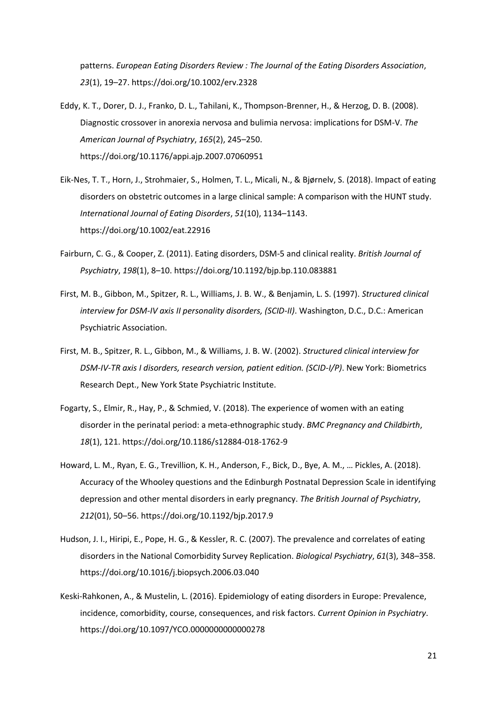patterns. *European Eating Disorders Review : The Journal of the Eating Disorders Association*, *23*(1), 19–27. https://doi.org/10.1002/erv.2328

- Eddy, K. T., Dorer, D. J., Franko, D. L., Tahilani, K., Thompson-Brenner, H., & Herzog, D. B. (2008). Diagnostic crossover in anorexia nervosa and bulimia nervosa: implications for DSM-V. *The American Journal of Psychiatry*, *165*(2), 245–250. https://doi.org/10.1176/appi.ajp.2007.07060951
- Eik‐Nes, T. T., Horn, J., Strohmaier, S., Holmen, T. L., Micali, N., & Bjørnelv, S. (2018). Impact of eating disorders on obstetric outcomes in a large clinical sample: A comparison with the HUNT study. *International Journal of Eating Disorders*, *51*(10), 1134–1143. https://doi.org/10.1002/eat.22916
- Fairburn, C. G., & Cooper, Z. (2011). Eating disorders, DSM-5 and clinical reality. *British Journal of Psychiatry*, *198*(1), 8–10. https://doi.org/10.1192/bjp.bp.110.083881
- First, M. B., Gibbon, M., Spitzer, R. L., Williams, J. B. W., & Benjamin, L. S. (1997). *Structured clinical interview for DSM-IV axis II personality disorders, (SCID-II)*. Washington, D.C., D.C.: American Psychiatric Association.
- First, M. B., Spitzer, R. L., Gibbon, M., & Williams, J. B. W. (2002). *Structured clinical interview for DSM-IV-TR axis I disorders, research version, patient edition. (SCID-I/P)*. New York: Biometrics Research Dept., New York State Psychiatric Institute.
- Fogarty, S., Elmir, R., Hay, P., & Schmied, V. (2018). The experience of women with an eating disorder in the perinatal period: a meta-ethnographic study. *BMC Pregnancy and Childbirth*, *18*(1), 121. https://doi.org/10.1186/s12884-018-1762-9
- Howard, L. M., Ryan, E. G., Trevillion, K. H., Anderson, F., Bick, D., Bye, A. M., … Pickles, A. (2018). Accuracy of the Whooley questions and the Edinburgh Postnatal Depression Scale in identifying depression and other mental disorders in early pregnancy. *The British Journal of Psychiatry*, *212*(01), 50–56. https://doi.org/10.1192/bjp.2017.9
- Hudson, J. I., Hiripi, E., Pope, H. G., & Kessler, R. C. (2007). The prevalence and correlates of eating disorders in the National Comorbidity Survey Replication. *Biological Psychiatry*, *61*(3), 348–358. https://doi.org/10.1016/j.biopsych.2006.03.040
- Keski-Rahkonen, A., & Mustelin, L. (2016). Epidemiology of eating disorders in Europe: Prevalence, incidence, comorbidity, course, consequences, and risk factors. *Current Opinion in Psychiatry*. https://doi.org/10.1097/YCO.0000000000000278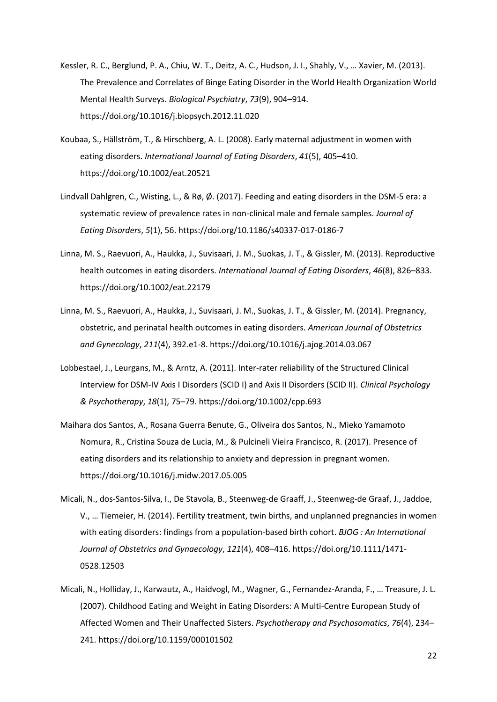- Kessler, R. C., Berglund, P. A., Chiu, W. T., Deitz, A. C., Hudson, J. I., Shahly, V., … Xavier, M. (2013). The Prevalence and Correlates of Binge Eating Disorder in the World Health Organization World Mental Health Surveys. *Biological Psychiatry*, *73*(9), 904–914. https://doi.org/10.1016/j.biopsych.2012.11.020
- Koubaa, S., Hällström, T., & Hirschberg, A. L. (2008). Early maternal adjustment in women with eating disorders. *International Journal of Eating Disorders*, *41*(5), 405–410. https://doi.org/10.1002/eat.20521
- Lindvall Dahlgren, C., Wisting, L., & Rø, Ø. (2017). Feeding and eating disorders in the DSM-5 era: a systematic review of prevalence rates in non-clinical male and female samples. *Journal of Eating Disorders*, *5*(1), 56. https://doi.org/10.1186/s40337-017-0186-7
- Linna, M. S., Raevuori, A., Haukka, J., Suvisaari, J. M., Suokas, J. T., & Gissler, M. (2013). Reproductive health outcomes in eating disorders. *International Journal of Eating Disorders*, *46*(8), 826–833. https://doi.org/10.1002/eat.22179
- Linna, M. S., Raevuori, A., Haukka, J., Suvisaari, J. M., Suokas, J. T., & Gissler, M. (2014). Pregnancy, obstetric, and perinatal health outcomes in eating disorders. *American Journal of Obstetrics and Gynecology*, *211*(4), 392.e1-8. https://doi.org/10.1016/j.ajog.2014.03.067
- Lobbestael, J., Leurgans, M., & Arntz, A. (2011). Inter-rater reliability of the Structured Clinical Interview for DSM-IV Axis I Disorders (SCID I) and Axis II Disorders (SCID II). *Clinical Psychology & Psychotherapy*, *18*(1), 75–79. https://doi.org/10.1002/cpp.693
- Maihara dos Santos, A., Rosana Guerra Benute, G., Oliveira dos Santos, N., Mieko Yamamoto Nomura, R., Cristina Souza de Lucia, M., & Pulcineli Vieira Francisco, R. (2017). Presence of eating disorders and its relationship to anxiety and depression in pregnant women. https://doi.org/10.1016/j.midw.2017.05.005
- Micali, N., dos-Santos-Silva, I., De Stavola, B., Steenweg-de Graaff, J., Steenweg-de Graaf, J., Jaddoe, V., … Tiemeier, H. (2014). Fertility treatment, twin births, and unplanned pregnancies in women with eating disorders: findings from a population-based birth cohort. *BJOG : An International Journal of Obstetrics and Gynaecology*, *121*(4), 408–416. https://doi.org/10.1111/1471- 0528.12503
- Micali, N., Holliday, J., Karwautz, A., Haidvogl, M., Wagner, G., Fernandez-Aranda, F., … Treasure, J. L. (2007). Childhood Eating and Weight in Eating Disorders: A Multi-Centre European Study of Affected Women and Their Unaffected Sisters. *Psychotherapy and Psychosomatics*, *76*(4), 234– 241. https://doi.org/10.1159/000101502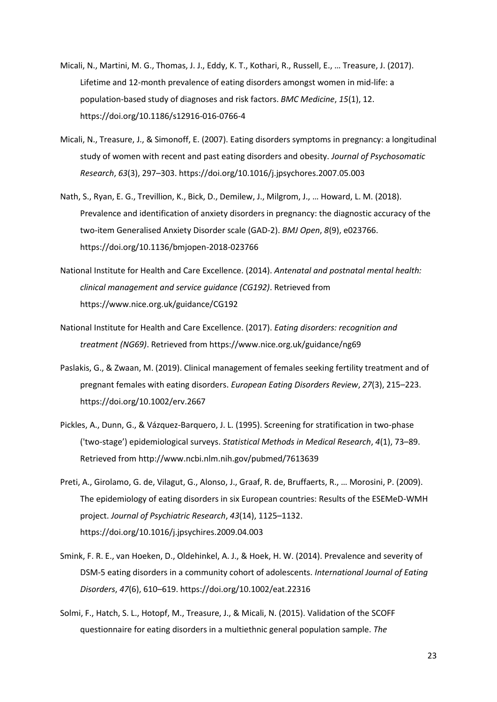- Micali, N., Martini, M. G., Thomas, J. J., Eddy, K. T., Kothari, R., Russell, E., … Treasure, J. (2017). Lifetime and 12-month prevalence of eating disorders amongst women in mid-life: a population-based study of diagnoses and risk factors. *BMC Medicine*, *15*(1), 12. https://doi.org/10.1186/s12916-016-0766-4
- Micali, N., Treasure, J., & Simonoff, E. (2007). Eating disorders symptoms in pregnancy: a longitudinal study of women with recent and past eating disorders and obesity. *Journal of Psychosomatic Research*, *63*(3), 297–303. https://doi.org/10.1016/j.jpsychores.2007.05.003
- Nath, S., Ryan, E. G., Trevillion, K., Bick, D., Demilew, J., Milgrom, J., … Howard, L. M. (2018). Prevalence and identification of anxiety disorders in pregnancy: the diagnostic accuracy of the two-item Generalised Anxiety Disorder scale (GAD-2). *BMJ Open*, *8*(9), e023766. https://doi.org/10.1136/bmjopen-2018-023766
- National Institute for Health and Care Excellence. (2014). *Antenatal and postnatal mental health: clinical management and service guidance (CG192)*. Retrieved from https://www.nice.org.uk/guidance/CG192
- National Institute for Health and Care Excellence. (2017). *Eating disorders: recognition and treatment (NG69)*. Retrieved from https://www.nice.org.uk/guidance/ng69
- Paslakis, G., & Zwaan, M. (2019). Clinical management of females seeking fertility treatment and of pregnant females with eating disorders. *European Eating Disorders Review*, *27*(3), 215–223. https://doi.org/10.1002/erv.2667
- Pickles, A., Dunn, G., & Vázquez-Barquero, J. L. (1995). Screening for stratification in two-phase ('two-stage') epidemiological surveys. *Statistical Methods in Medical Research*, *4*(1), 73–89. Retrieved from http://www.ncbi.nlm.nih.gov/pubmed/7613639
- Preti, A., Girolamo, G. de, Vilagut, G., Alonso, J., Graaf, R. de, Bruffaerts, R., … Morosini, P. (2009). The epidemiology of eating disorders in six European countries: Results of the ESEMeD-WMH project. *Journal of Psychiatric Research*, *43*(14), 1125–1132. https://doi.org/10.1016/j.jpsychires.2009.04.003
- Smink, F. R. E., van Hoeken, D., Oldehinkel, A. J., & Hoek, H. W. (2014). Prevalence and severity of DSM-5 eating disorders in a community cohort of adolescents. *International Journal of Eating Disorders*, *47*(6), 610–619. https://doi.org/10.1002/eat.22316
- Solmi, F., Hatch, S. L., Hotopf, M., Treasure, J., & Micali, N. (2015). Validation of the SCOFF questionnaire for eating disorders in a multiethnic general population sample. *The*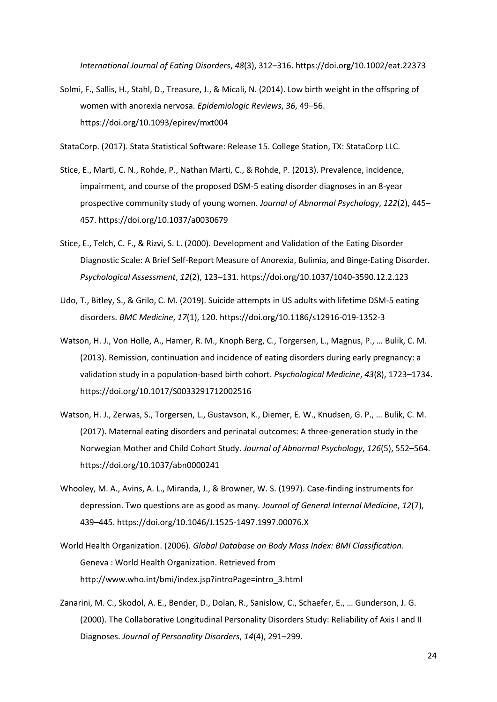*International Journal of Eating Disorders*, *48*(3), 312–316. https://doi.org/10.1002/eat.22373

Solmi, F., Sallis, H., Stahl, D., Treasure, J., & Micali, N. (2014). Low birth weight in the offspring of women with anorexia nervosa. *Epidemiologic Reviews*, *36*, 49–56. https://doi.org/10.1093/epirev/mxt004

StataCorp. (2017). Stata Statistical Software: Release 15. College Station, TX: StataCorp LLC.

- Stice, E., Marti, C. N., Rohde, P., Nathan Marti, C., & Rohde, P. (2013). Prevalence, incidence, impairment, and course of the proposed DSM-5 eating disorder diagnoses in an 8-year prospective community study of young women. *Journal of Abnormal Psychology*, *122*(2), 445– 457. https://doi.org/10.1037/a0030679
- Stice, E., Telch, C. F., & Rizvi, S. L. (2000). Development and Validation of the Eating Disorder Diagnostic Scale: A Brief Self-Report Measure of Anorexia, Bulimia, and Binge-Eating Disorder. *Psychological Assessment*, *12*(2), 123–131. https://doi.org/10.1037/1040-3590.12.2.123
- Udo, T., Bitley, S., & Grilo, C. M. (2019). Suicide attempts in US adults with lifetime DSM-5 eating disorders. *BMC Medicine*, *17*(1), 120. https://doi.org/10.1186/s12916-019-1352-3
- Watson, H. J., Von Holle, A., Hamer, R. M., Knoph Berg, C., Torgersen, L., Magnus, P., … Bulik, C. M. (2013). Remission, continuation and incidence of eating disorders during early pregnancy: a validation study in a population-based birth cohort. *Psychological Medicine*, *43*(8), 1723–1734. https://doi.org/10.1017/S0033291712002516
- Watson, H. J., Zerwas, S., Torgersen, L., Gustavson, K., Diemer, E. W., Knudsen, G. P., … Bulik, C. M. (2017). Maternal eating disorders and perinatal outcomes: A three-generation study in the Norwegian Mother and Child Cohort Study. *Journal of Abnormal Psychology*, *126*(5), 552–564. https://doi.org/10.1037/abn0000241
- Whooley, M. A., Avins, A. L., Miranda, J., & Browner, W. S. (1997). Case-finding instruments for depression. Two questions are as good as many. *Journal of General Internal Medicine*, *12*(7), 439–445. https://doi.org/10.1046/J.1525-1497.1997.00076.X
- World Health Organization. (2006). *Global Database on Body Mass Index: BMI Classification.* Geneva : World Health Organization. Retrieved from http://www.who.int/bmi/index.jsp?introPage=intro\_3.html
- Zanarini, M. C., Skodol, A. E., Bender, D., Dolan, R., Sanislow, C., Schaefer, E., … Gunderson, J. G. (2000). The Collaborative Longitudinal Personality Disorders Study: Reliability of Axis I and II Diagnoses. *Journal of Personality Disorders*, *14*(4), 291–299.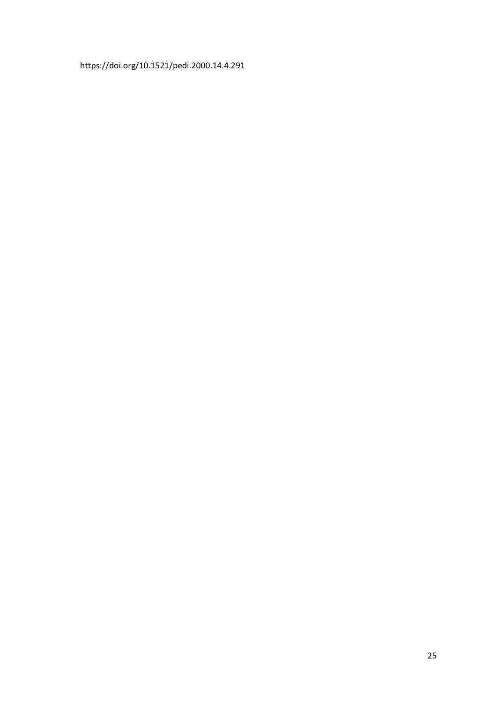https://doi.org/10.1521/pedi.2000.14.4.291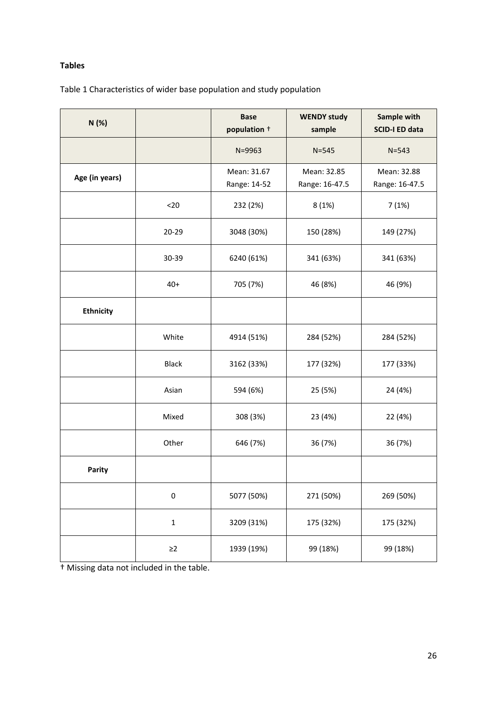# **Tables**

# Table 1 Characteristics of wider base population and study population

| N(%)             |              | <b>Base</b><br>population + | <b>WENDY study</b><br>sample  | Sample with<br><b>SCID-I ED data</b> |
|------------------|--------------|-----------------------------|-------------------------------|--------------------------------------|
|                  |              | N=9963                      | $N = 545$                     | $N = 543$                            |
| Age (in years)   |              | Mean: 31.67<br>Range: 14-52 | Mean: 32.85<br>Range: 16-47.5 | Mean: 32.88<br>Range: 16-47.5        |
|                  | $20$         | 232 (2%)                    | 8(1%)                         | 7(1%)                                |
|                  | 20-29        | 3048 (30%)                  | 150 (28%)                     | 149 (27%)                            |
|                  | 30-39        | 6240 (61%)                  | 341 (63%)                     | 341 (63%)                            |
|                  | $40+$        | 705 (7%)                    | 46 (8%)                       | 46 (9%)                              |
| <b>Ethnicity</b> |              |                             |                               |                                      |
|                  | White        | 4914 (51%)                  | 284 (52%)                     | 284 (52%)                            |
|                  | <b>Black</b> | 3162 (33%)                  | 177 (32%)                     | 177 (33%)                            |
|                  | Asian        | 594 (6%)                    | 25 (5%)                       | 24 (4%)                              |
|                  | Mixed        | 308 (3%)                    | 23 (4%)                       | 22 (4%)                              |
|                  | Other        | 646 (7%)                    | 36 (7%)                       | 36 (7%)                              |
| Parity           |              |                             |                               |                                      |
|                  | $\pmb{0}$    | 5077 (50%)                  | 271 (50%)                     | 269 (50%)                            |
|                  | $\mathbf 1$  | 3209 (31%)                  | 175 (32%)                     | 175 (32%)                            |
|                  | $\geq$ 2     | 1939 (19%)                  | 99 (18%)                      | 99 (18%)                             |

† Missing data not included in the table.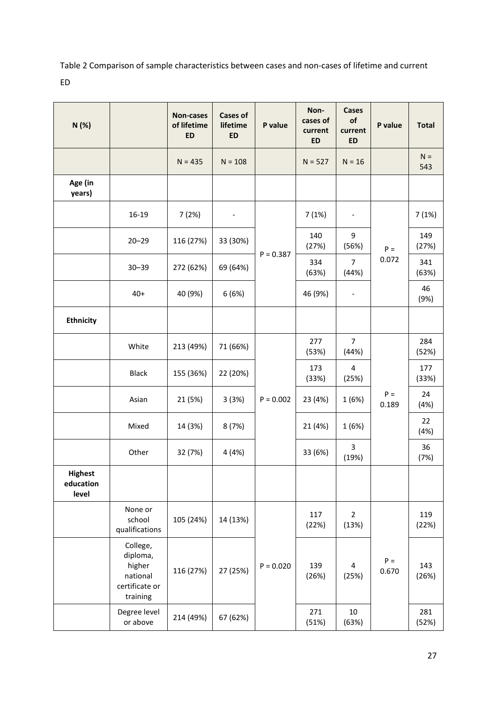Table 2 Comparison of sample characteristics between cases and non-cases of lifetime and current ED

| N(%)                                 |                                                                          | Non-cases<br>of lifetime<br><b>ED</b> | <b>Cases of</b><br>lifetime<br><b>ED</b> | P value     | Non-<br>cases of<br>current<br><b>ED</b> | Cases<br>of<br>current<br><b>ED</b> | P value        | <b>Total</b> |
|--------------------------------------|--------------------------------------------------------------------------|---------------------------------------|------------------------------------------|-------------|------------------------------------------|-------------------------------------|----------------|--------------|
|                                      |                                                                          | $N = 435$                             | $N = 108$                                |             | $N = 527$                                | $N = 16$                            |                | $N =$<br>543 |
| Age (in<br>years)                    |                                                                          |                                       |                                          |             |                                          |                                     |                |              |
|                                      | 16-19                                                                    | 7(2%)                                 |                                          |             | 7(1%)                                    | $\overline{\phantom{a}}$            |                | 7(1%)        |
|                                      | $20 - 29$                                                                | 116 (27%)                             | 33 (30%)                                 |             | 140<br>(27%)                             | 9<br>(56%)                          | $P =$          | 149<br>(27%) |
|                                      | $30 - 39$                                                                | 272 (62%)                             | 69 (64%)                                 | $P = 0.387$ | 334<br>(63%)                             | 7<br>(44%)                          | 0.072          | 341<br>(63%) |
|                                      | $40+$                                                                    | 40 (9%)                               | 6(6%)                                    |             | 46 (9%)                                  | $\overline{\phantom{a}}$            |                | 46<br>(9%)   |
| <b>Ethnicity</b>                     |                                                                          |                                       |                                          |             |                                          |                                     |                |              |
|                                      | White                                                                    | 213 (49%)                             | 71 (66%)                                 |             | 277<br>(53%)                             | $\overline{7}$<br>(44%)             |                | 284<br>(52%) |
|                                      | <b>Black</b>                                                             | 155 (36%)                             | 22 (20%)                                 |             | 173<br>(33%)                             | $\overline{\mathbf{4}}$<br>(25%)    | $P =$<br>0.189 | 177<br>(33%) |
|                                      | Asian                                                                    | 21 (5%)                               | 3(3%)                                    | $P = 0.002$ | 23 (4%)                                  | 1(6%)                               |                | 24<br>(4%)   |
|                                      | Mixed                                                                    | 14 (3%)                               | 8(7%)                                    |             | 21 (4%)                                  | 1(6%)                               |                | 22<br>(4%)   |
|                                      | Other                                                                    | 32 (7%)                               | 4 (4%)                                   |             | 33 (6%)                                  | 3<br>(19%)                          |                | 36<br>(7%)   |
| <b>Highest</b><br>education<br>level |                                                                          |                                       |                                          |             |                                          |                                     |                |              |
|                                      | None or<br>school<br>qualifications                                      | 105 (24%)                             | 14 (13%)                                 |             | 117<br>(22%)                             | $\overline{2}$<br>(13%)             |                | 119<br>(22%) |
|                                      | College,<br>diploma,<br>higher<br>national<br>certificate or<br>training | 116 (27%)                             | 27 (25%)                                 | $P = 0.020$ | 139<br>(26%)                             | 4<br>(25%)                          | $P =$<br>0.670 | 143<br>(26%) |
|                                      | Degree level<br>or above                                                 | 214 (49%)                             | 67 (62%)                                 |             | 271<br>(51%)                             | 10<br>(63%)                         |                | 281<br>(52%) |

27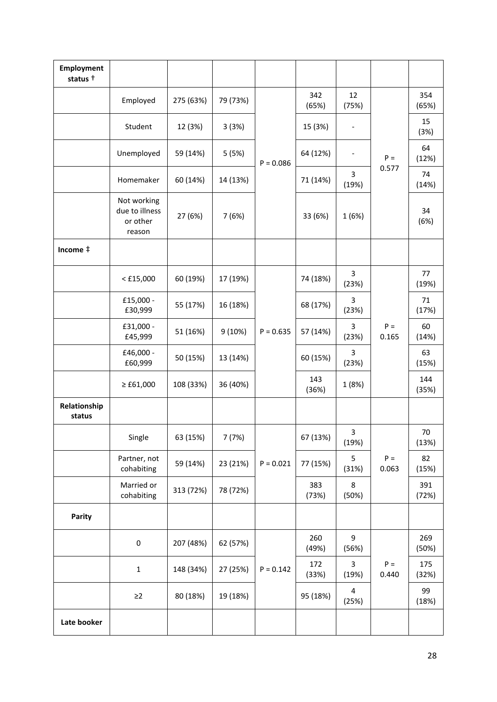| Employment<br>status <sup>+</sup> |                                                     |           |          |             |              |                          |                |              |
|-----------------------------------|-----------------------------------------------------|-----------|----------|-------------|--------------|--------------------------|----------------|--------------|
|                                   | Employed                                            | 275 (63%) | 79 (73%) |             | 342<br>(65%) | 12<br>(75%)              |                | 354<br>(65%) |
|                                   | Student                                             | 12 (3%)   | 3(3%)    |             | 15 (3%)      | $\overline{\phantom{0}}$ |                | 15<br>(3%)   |
|                                   | Unemployed                                          | 59 (14%)  | 5 (5%)   | $P = 0.086$ | 64 (12%)     |                          | $P =$          | 64<br>(12%)  |
|                                   | Homemaker                                           | 60 (14%)  | 14 (13%) |             | 71 (14%)     | 3<br>(19%)               | 0.577          | 74<br>(14%)  |
|                                   | Not working<br>due to illness<br>or other<br>reason | 27 (6%)   | 7(6%)    |             | 33 (6%)      | 1(6%)                    |                | 34<br>(6%)   |
| Income $\ddagger$                 |                                                     |           |          |             |              |                          |                |              |
|                                   | $<$ £15,000                                         | 60 (19%)  | 17 (19%) |             | 74 (18%)     | 3<br>(23%)               |                | 77<br>(19%)  |
|                                   | £15,000 -<br>£30,999                                | 55 (17%)  | 16 (18%) |             | 68 (17%)     | 3<br>(23%)               | $P =$<br>0.165 | 71<br>(17%)  |
|                                   | £31,000 -<br>£45,999                                | 51 (16%)  | 9(10%)   | $P = 0.635$ | 57 (14%)     | 3<br>(23%)               |                | 60<br>(14%)  |
|                                   | £46,000 -<br>£60,999                                | 50 (15%)  | 13 (14%) |             | 60 (15%)     | 3<br>(23%)               |                | 63<br>(15%)  |
|                                   | $≥$ £61,000                                         | 108 (33%) | 36 (40%) |             | 143<br>(36%) | 1 (8%)                   |                | 144<br>(35%) |
| Relationship<br>status            |                                                     |           |          |             |              |                          |                |              |
|                                   | Single                                              | 63 (15%)  | 7(7%)    |             | 67 (13%)     | 3<br>(19%)               |                | 70<br>(13%)  |
|                                   | Partner, not<br>cohabiting                          | 59 (14%)  | 23 (21%) | $P = 0.021$ | 77 (15%)     | 5<br>(31%)               | $P =$<br>0.063 | 82<br>(15%)  |
|                                   | Married or<br>cohabiting                            | 313 (72%) | 78 (72%) |             | 383<br>(73%) | 8<br>(50%)               |                | 391<br>(72%) |
| Parity                            |                                                     |           |          |             |              |                          |                |              |
|                                   | $\pmb{0}$                                           | 207 (48%) | 62 (57%) |             | 260<br>(49%) | 9<br>(56%)               |                | 269<br>(50%) |
|                                   | $\mathbf 1$                                         | 148 (34%) | 27 (25%) | $P = 0.142$ | 172<br>(33%) | 3<br>(19%)               | $P =$<br>0.440 | 175<br>(32%) |
|                                   | $\geq$ 2                                            | 80 (18%)  | 19 (18%) |             | 95 (18%)     | 4<br>(25%)               |                | 99<br>(18%)  |
| Late booker                       |                                                     |           |          |             |              |                          |                |              |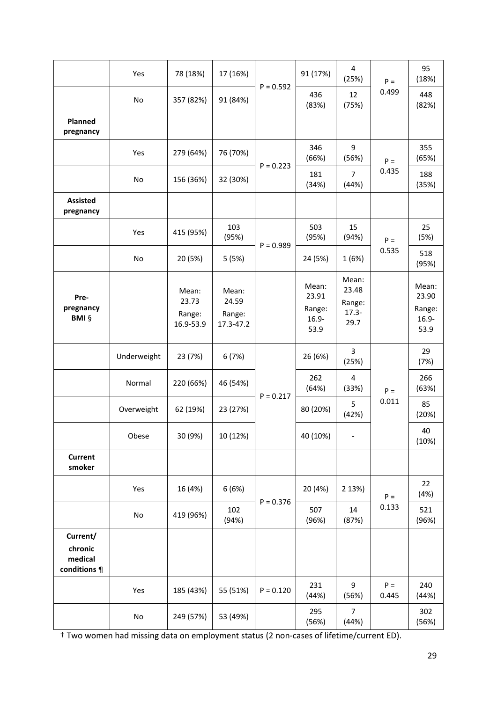|                                                | Yes           | 78 (18%)                              | 17 (16%)                              |             | 91 (17%)                                     | 4<br>(25%)                                   | $P =$          | 95<br>(18%)                                  |
|------------------------------------------------|---------------|---------------------------------------|---------------------------------------|-------------|----------------------------------------------|----------------------------------------------|----------------|----------------------------------------------|
|                                                | No            | 357 (82%)                             | 91 (84%)                              | $P = 0.592$ | 436<br>(83%)                                 | 12<br>(75%)                                  | 0.499          | 448<br>(82%)                                 |
| Planned<br>pregnancy                           |               |                                       |                                       |             |                                              |                                              |                |                                              |
|                                                | Yes           | 279 (64%)                             | 76 (70%)                              | $P = 0.223$ | 346<br>(66%)                                 | 9<br>(56%)                                   | $P =$          | 355<br>(65%)                                 |
|                                                | No            | 156 (36%)                             | 32 (30%)                              |             | 181<br>(34%)                                 | $\overline{7}$<br>(44%)                      | 0.435          | 188<br>(35%)                                 |
| <b>Assisted</b><br>pregnancy                   |               |                                       |                                       |             |                                              |                                              |                |                                              |
|                                                | Yes           | 415 (95%)                             | 103<br>(95%)                          | $P = 0.989$ | 503<br>(95%)                                 | 15<br>(94%)                                  | $P =$          | 25<br>(5%)                                   |
|                                                | No            | 20 (5%)                               | 5(5%)                                 |             | 24 (5%)                                      | 1 (6%)                                       | 0.535          | 518<br>(95%)                                 |
| Pre-<br>pregnancy<br><b>BMI §</b>              |               | Mean:<br>23.73<br>Range:<br>16.9-53.9 | Mean:<br>24.59<br>Range:<br>17.3-47.2 |             | Mean:<br>23.91<br>Range:<br>$16.9 -$<br>53.9 | Mean:<br>23.48<br>Range:<br>$17.3 -$<br>29.7 |                | Mean:<br>23.90<br>Range:<br>$16.9 -$<br>53.9 |
|                                                | Underweight   | 23 (7%)                               | 6(7%)                                 |             | 26 (6%)                                      | 3<br>(25%)                                   |                | 29<br>(7%)                                   |
|                                                | Normal        | 220 (66%)                             | 46 (54%)                              | $P = 0.217$ | 262<br>(64%)                                 | 4<br>(33%)                                   | $P =$          | 266<br>(63%)                                 |
|                                                | Overweight    | 62 (19%)                              | 23 (27%)                              |             | 80 (20%)                                     | 5<br>(42%)                                   | 0.011          | 85<br>(20%)                                  |
|                                                | Obese         | 30 (9%)                               | 10 (12%)                              |             | 40 (10%)                                     | $\overline{\phantom{a}}$                     |                | 40<br>(10%)                                  |
| <b>Current</b><br>smoker                       |               |                                       |                                       |             |                                              |                                              |                |                                              |
|                                                | Yes           | 16 (4%)                               | 6(6%)                                 | $P = 0.376$ | 20 (4%)                                      | 2 13%)                                       | $P =$          | 22<br>(4%)                                   |
|                                                | $\mathsf{No}$ | 419 (96%)                             | 102<br>(94%)                          |             | 507<br>(96%)                                 | 14<br>(87%)                                  | 0.133          | 521<br>(96%)                                 |
| Current/<br>chronic<br>medical<br>conditions ¶ |               |                                       |                                       |             |                                              |                                              |                |                                              |
|                                                | Yes           | 185 (43%)                             | 55 (51%)                              | $P = 0.120$ | 231<br>(44%)                                 | 9<br>(56%)                                   | $P =$<br>0.445 | 240<br>(44%)                                 |
|                                                | $\mathsf{No}$ | 249 (57%)                             | 53 (49%)                              |             | 295<br>(56%)                                 | $\overline{7}$<br>(44%)                      |                | 302<br>(56%)                                 |

† Two women had missing data on employment status (2 non-cases of lifetime/current ED).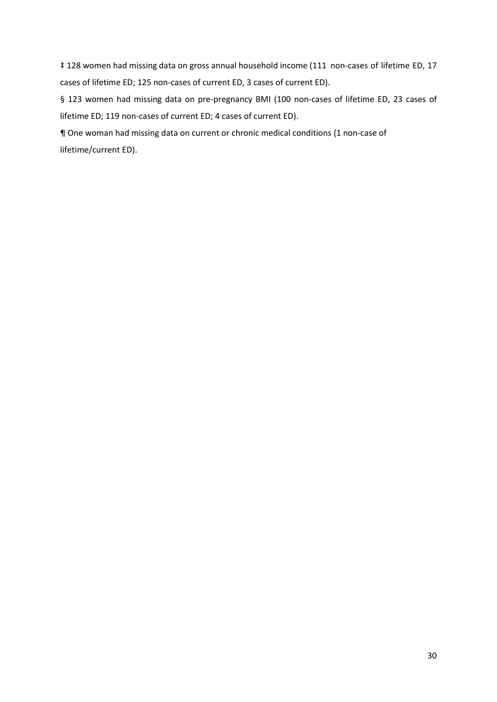‡ 128 women had missing data on gross annual household income (111 non-cases of lifetime ED, 17 cases of lifetime ED; 125 non-cases of current ED, 3 cases of current ED).

§ 123 women had missing data on pre-pregnancy BMI (100 non-cases of lifetime ED, 23 cases of lifetime ED; 119 non-cases of current ED; 4 cases of current ED).

¶ One woman had missing data on current or chronic medical conditions (1 non-case of lifetime/current ED).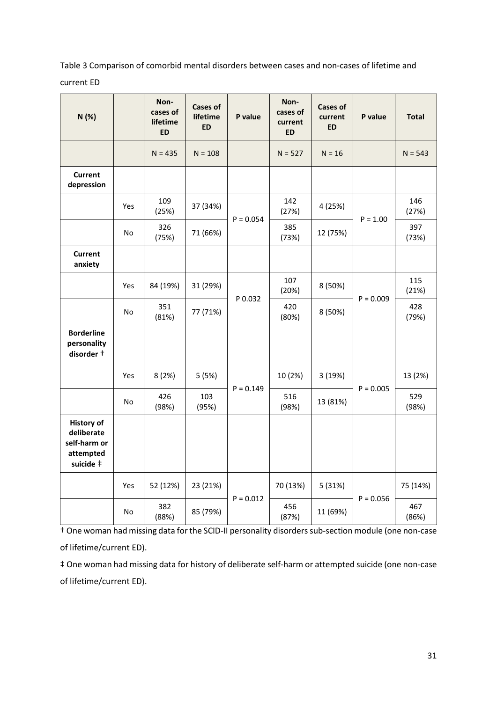Table 3 Comparison of comorbid mental disorders between cases and non-cases of lifetime and

current ED

| N (%)                                                                     |                | Non-<br>cases of<br>lifetime<br><b>ED</b> | <b>Cases of</b><br>lifetime<br><b>ED</b> | P value     | Non-<br>cases of<br>current<br><b>ED</b> | <b>Cases of</b><br>current<br><b>ED</b> | P value     | <b>Total</b> |
|---------------------------------------------------------------------------|----------------|-------------------------------------------|------------------------------------------|-------------|------------------------------------------|-----------------------------------------|-------------|--------------|
|                                                                           |                | $N = 435$                                 | $N = 108$                                |             | $N = 527$                                | $N = 16$                                |             | $N = 543$    |
| <b>Current</b><br>depression                                              |                |                                           |                                          |             |                                          |                                         |             |              |
|                                                                           | Yes            | 109<br>(25%)                              | 37 (34%)                                 | $P = 0.054$ | 142<br>(27%)                             | 4 (25%)                                 | $P = 1.00$  | 146<br>(27%) |
|                                                                           | No.            | 326<br>(75%)                              | 71 (66%)                                 |             | 385<br>(73%)                             | 12 (75%)                                |             | 397<br>(73%) |
| <b>Current</b><br>anxiety                                                 |                |                                           |                                          |             |                                          |                                         |             |              |
|                                                                           | Yes            | 84 (19%)                                  | 31 (29%)                                 |             | 107<br>(20%)                             | 8 (50%)                                 |             | 115<br>(21%) |
|                                                                           | N <sub>o</sub> | 351<br>(81%)                              | 77 (71%)                                 | P 0.032     | 420<br>(80%)                             | 8 (50%)                                 | $P = 0.009$ | 428<br>(79%) |
| <b>Borderline</b><br>personality<br>disorder +                            |                |                                           |                                          |             |                                          |                                         |             |              |
|                                                                           | Yes            | 8(2%)                                     | 5(5%)                                    | $P = 0.149$ | 10 (2%)                                  | 3 (19%)                                 | $P = 0.005$ | 13 (2%)      |
|                                                                           | No.            | 426<br>(98%)                              | 103<br>(95%)                             |             | 516<br>(98%)                             | 13 (81%)                                |             | 529<br>(98%) |
| <b>History of</b><br>deliberate<br>self-harm or<br>attempted<br>suicide ‡ |                |                                           |                                          |             |                                          |                                         |             |              |
|                                                                           | Yes            | 52 (12%)                                  | 23 (21%)                                 |             | 70 (13%)                                 | 5 (31%)                                 |             | 75 (14%)     |
|                                                                           | No             | 382<br>(88%)                              | 85 (79%)                                 | $P = 0.012$ | 456<br>(87%)                             | 11 (69%)                                | $P = 0.056$ | 467<br>(86%) |

† One woman had missing data for the SCID-II personality disorders sub-section module (one non-case of lifetime/current ED).

‡ One woman had missing data for history of deliberate self-harm or attempted suicide (one non-case of lifetime/current ED).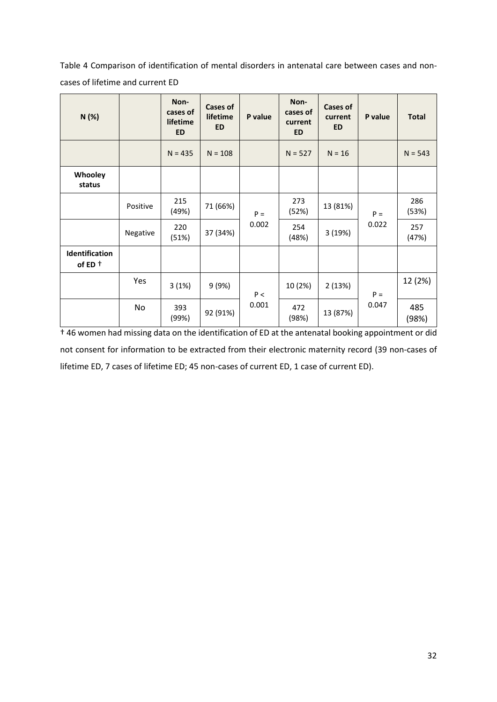Table 4 Comparison of identification of mental disorders in antenatal care between cases and noncases of lifetime and current ED

| N(%)                              |          | Non-<br>cases of<br>lifetime<br><b>ED</b> | <b>Cases of</b><br>lifetime<br><b>ED</b> | P value | Non-<br>cases of<br>current<br><b>ED</b> | Cases of<br>current<br><b>ED</b> | P value        | <b>Total</b> |
|-----------------------------------|----------|-------------------------------------------|------------------------------------------|---------|------------------------------------------|----------------------------------|----------------|--------------|
|                                   |          | $N = 435$                                 | $N = 108$                                |         | $N = 527$                                | $N = 16$                         |                | $N = 543$    |
| Whooley<br>status                 |          |                                           |                                          |         |                                          |                                  |                |              |
|                                   | Positive | 215<br>(49%)                              | 71 (66%)                                 | $P =$   | 273<br>(52%)                             | 13 (81%)                         | $P =$<br>0.022 | 286<br>(53%) |
|                                   | Negative | 220<br>(51%)                              | 37 (34%)                                 | 0.002   | 254<br>(48%)                             | 3 (19%)                          |                | 257<br>(47%) |
| Identification<br>of ED $\dagger$ |          |                                           |                                          |         |                                          |                                  |                |              |
|                                   | Yes      | 3(1%)                                     | 9(9%)                                    | P<      | 10 (2%)                                  | 2(13%)                           | $P =$          | 12 (2%)      |
|                                   | No       | 393<br>(99%)                              | 92 (91%)                                 | 0.001   | 472<br>(98%)                             | 13 (87%)                         | 0.047          | 485<br>(98%) |

† 46 women had missing data on the identification of ED at the antenatal booking appointment or did not consent for information to be extracted from their electronic maternity record (39 non-cases of lifetime ED, 7 cases of lifetime ED; 45 non-cases of current ED, 1 case of current ED).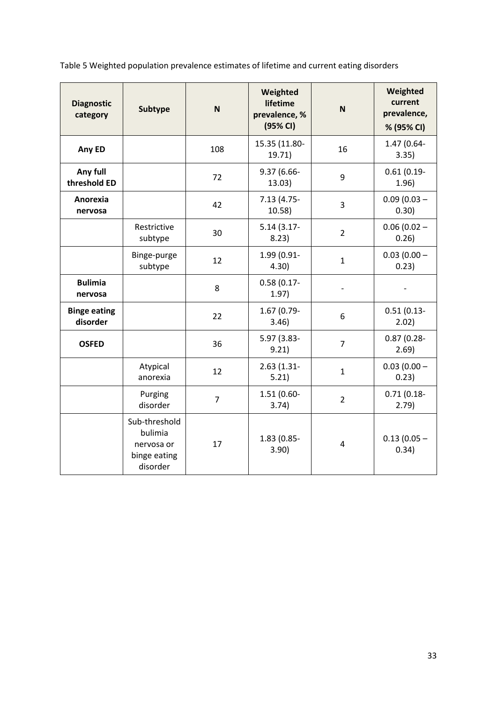Table 5 Weighted population prevalence estimates of lifetime and current eating disorders

| <b>Diagnostic</b><br>category   | <b>Subtype</b>                                                     | N              | Weighted<br>lifetime<br>prevalence, %<br>(95% CI) | N              | Weighted<br>current<br>prevalence,<br>% (95% CI) |
|---------------------------------|--------------------------------------------------------------------|----------------|---------------------------------------------------|----------------|--------------------------------------------------|
| Any ED                          |                                                                    | 108            | 15.35 (11.80-<br>19.71)                           | 16             | 1.47 (0.64-<br>3.35)                             |
| Any full<br>threshold ED        |                                                                    | 72             | 9.37 (6.66-<br>13.03)                             | 9              | $0.61(0.19-$<br>1.96)                            |
| Anorexia<br>nervosa             |                                                                    | 42             | $7.13(4.75 -$<br>10.58)                           | 3              | $0.09(0.03 -$<br>0.30)                           |
|                                 | Restrictive<br>subtype                                             | 30             | $5.14(3.17 -$<br>8.23)                            | $\overline{2}$ | $0.06(0.02 -$<br>0.26)                           |
|                                 | Binge-purge<br>subtype                                             | 12             | 1.99 (0.91-<br>4.30)                              | $\mathbf{1}$   | $0.03(0.00 -$<br>0.23)                           |
| <b>Bulimia</b><br>nervosa       |                                                                    | 8              | $0.58(0.17 -$<br>1.97)                            |                |                                                  |
| <b>Binge eating</b><br>disorder |                                                                    | 22             | 1.67 (0.79-<br>3.46)                              | 6              | $0.51(0.13 -$<br>2.02)                           |
| <b>OSFED</b>                    |                                                                    | 36             | 5.97 (3.83-<br>9.21)                              | $\overline{7}$ | $0.87(0.28 -$<br>2.69                            |
|                                 | Atypical<br>anorexia                                               | 12             | $2.63(1.31-$<br>5.21)                             | $\mathbf{1}$   | $0.03(0.00 -$<br>0.23)                           |
|                                 | Purging<br>disorder                                                | $\overline{7}$ | 1.51 (0.60-<br>3.74)                              | $\overline{2}$ | $0.71(0.18 -$<br>2.79)                           |
|                                 | Sub-threshold<br>bulimia<br>nervosa or<br>binge eating<br>disorder | 17             | 1.83 (0.85-<br>3.90)                              | 4              | $0.13(0.05 -$<br>0.34)                           |